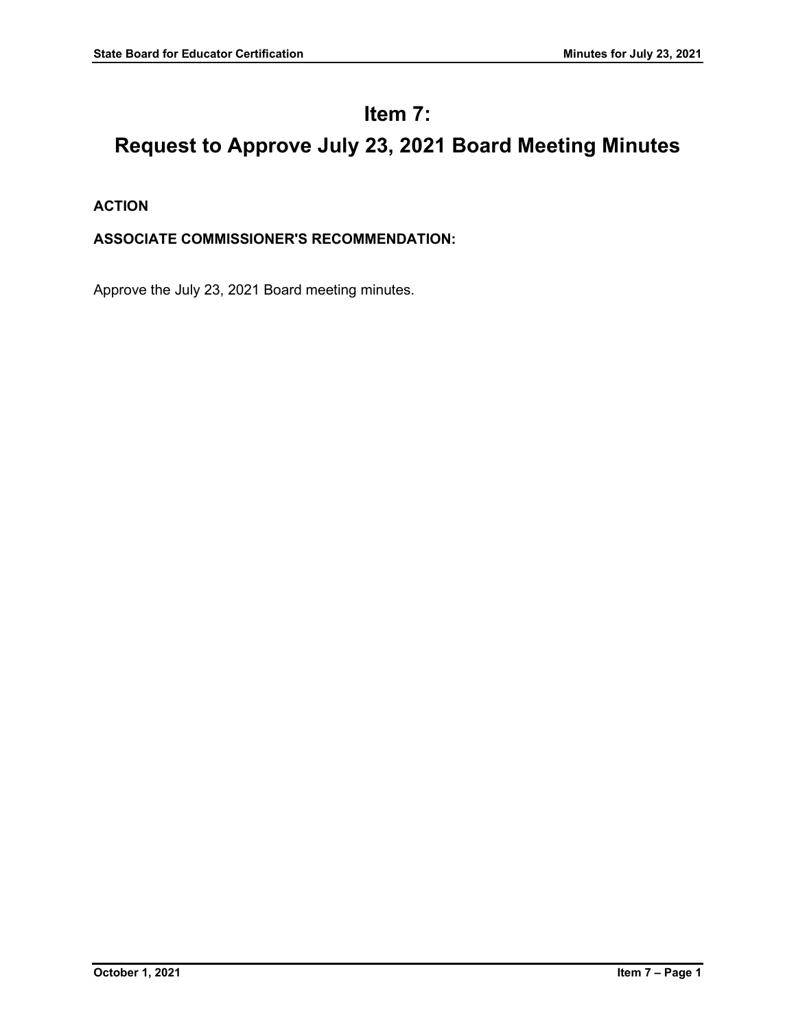# **Item 7:**

# **Request to Approve July 23, 2021 Board Meeting Minutes**

**ACTION**

# **ASSOCIATE COMMISSIONER'S RECOMMENDATION:**

Approve the July 23, 2021 Board meeting minutes.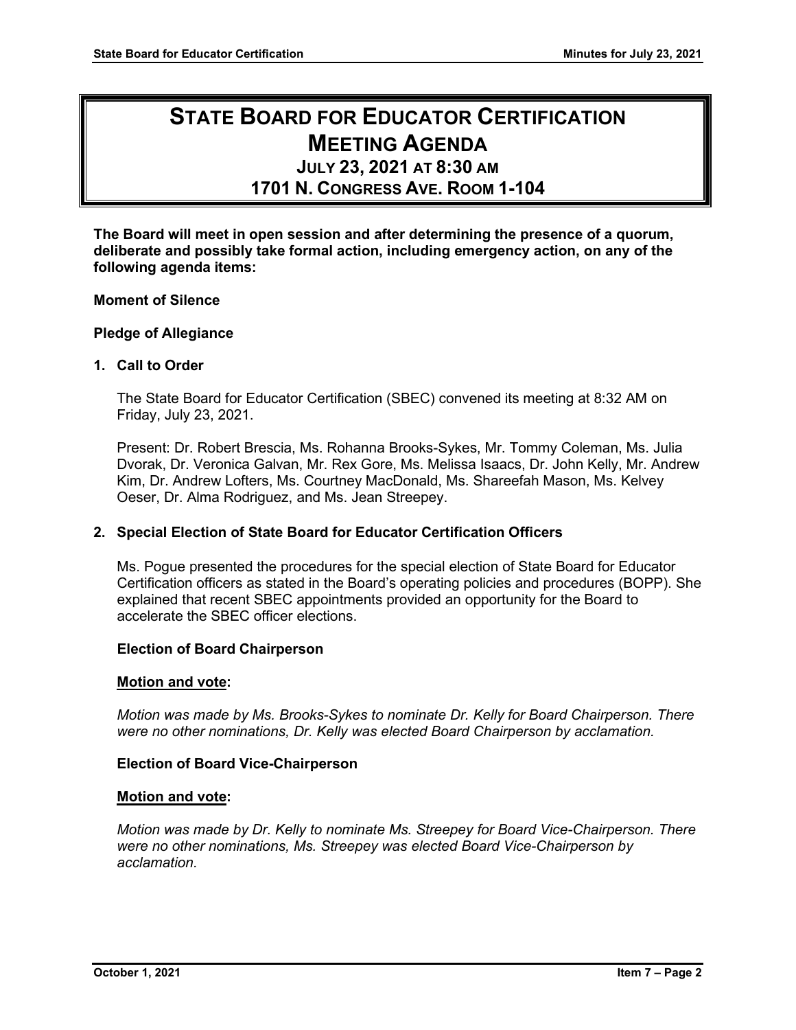# **STATE BOARD FOR EDUCATOR CERTIFICATION MEETING AGENDA**

# **JULY 23, 2021 AT 8:30 AM**

**1701 N. CONGRESS AVE. ROOM 1-104**

**The Board will meet in open session and after determining the presence of a quorum, deliberate and possibly take formal action, including emergency action, on any of the following agenda items:**

## **Moment of Silence**

## **Pledge of Allegiance**

# **1. Call to Order**

The State Board for Educator Certification (SBEC) convened its meeting at 8:32 AM on Friday, July 23, 2021.

Present: Dr. Robert Brescia, Ms. Rohanna Brooks-Sykes, Mr. Tommy Coleman, Ms. Julia Dvorak, Dr. Veronica Galvan, Mr. Rex Gore, Ms. Melissa Isaacs, Dr. John Kelly, Mr. Andrew Kim, Dr. Andrew Lofters, Ms. Courtney MacDonald, Ms. Shareefah Mason, Ms. Kelvey Oeser, Dr. Alma Rodriguez, and Ms. Jean Streepey.

## **2. Special Election of State Board for Educator Certification Officers**

Ms. Pogue presented the procedures for the special election of State Board for Educator Certification officers as stated in the Board's operating policies and procedures (BOPP). She explained that recent SBEC appointments provided an opportunity for the Board to accelerate the SBEC officer elections.

## **Election of Board Chairperson**

## **Motion and vote:**

*Motion was made by Ms. Brooks-Sykes to nominate Dr. Kelly for Board Chairperson. There were no other nominations, Dr. Kelly was elected Board Chairperson by acclamation.*

## **Election of Board Vice-Chairperson**

## **Motion and vote:**

*Motion was made by Dr. Kelly to nominate Ms. Streepey for Board Vice-Chairperson. There were no other nominations, Ms. Streepey was elected Board Vice-Chairperson by acclamation.*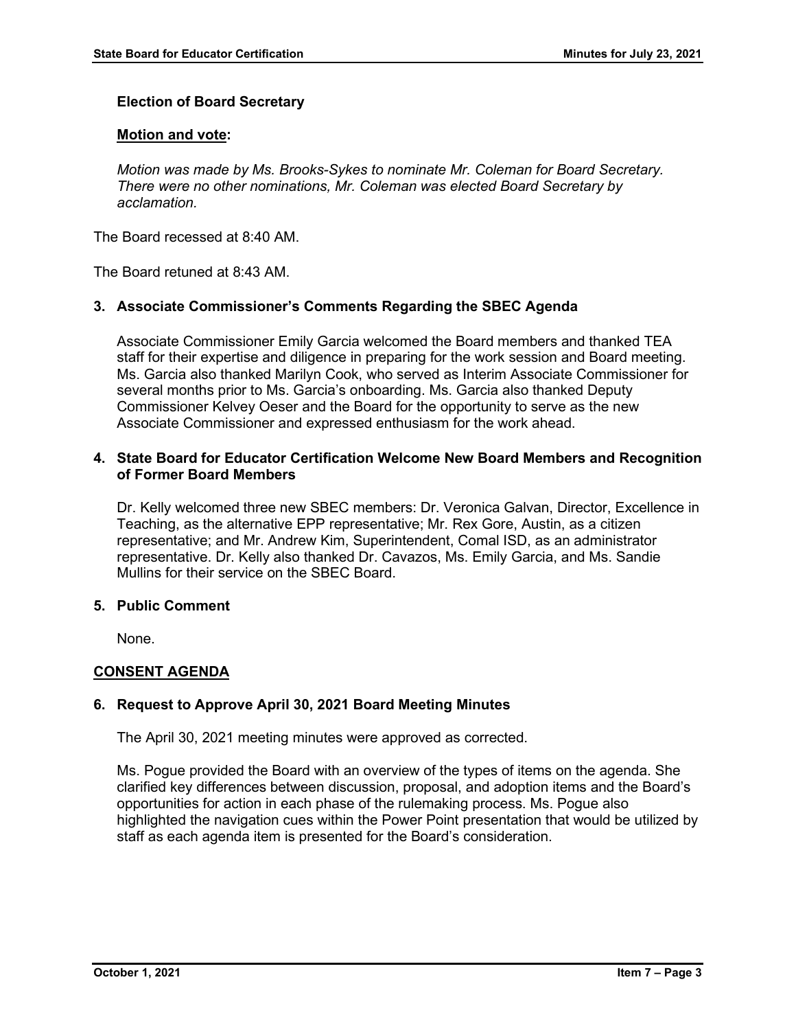# **Election of Board Secretary**

## **Motion and vote:**

*Motion was made by Ms. Brooks-Sykes to nominate Mr. Coleman for Board Secretary. There were no other nominations, Mr. Coleman was elected Board Secretary by acclamation.*

The Board recessed at 8:40 AM.

The Board retuned at 8:43 AM.

## **3. Associate Commissioner's Comments Regarding the SBEC Agenda**

Associate Commissioner Emily Garcia welcomed the Board members and thanked TEA staff for their expertise and diligence in preparing for the work session and Board meeting. Ms. Garcia also thanked Marilyn Cook, who served as Interim Associate Commissioner for several months prior to Ms. Garcia's onboarding. Ms. Garcia also thanked Deputy Commissioner Kelvey Oeser and the Board for the opportunity to serve as the new Associate Commissioner and expressed enthusiasm for the work ahead.

# **4. State Board for Educator Certification Welcome New Board Members and Recognition of Former Board Members**

Dr. Kelly welcomed three new SBEC members: Dr. Veronica Galvan, Director, Excellence in Teaching, as the alternative EPP representative; Mr. Rex Gore, Austin, as a citizen representative; and Mr. Andrew Kim, Superintendent, Comal ISD, as an administrator representative. Dr. Kelly also thanked Dr. Cavazos, Ms. Emily Garcia, and Ms. Sandie Mullins for their service on the SBEC Board.

#### **5. Public Comment**

None.

## **CONSENT AGENDA**

## **6. Request to Approve April 30, 2021 Board Meeting Minutes**

The April 30, 2021 meeting minutes were approved as corrected.

Ms. Pogue provided the Board with an overview of the types of items on the agenda. She clarified key differences between discussion, proposal, and adoption items and the Board's opportunities for action in each phase of the rulemaking process. Ms. Pogue also highlighted the navigation cues within the Power Point presentation that would be utilized by staff as each agenda item is presented for the Board's consideration.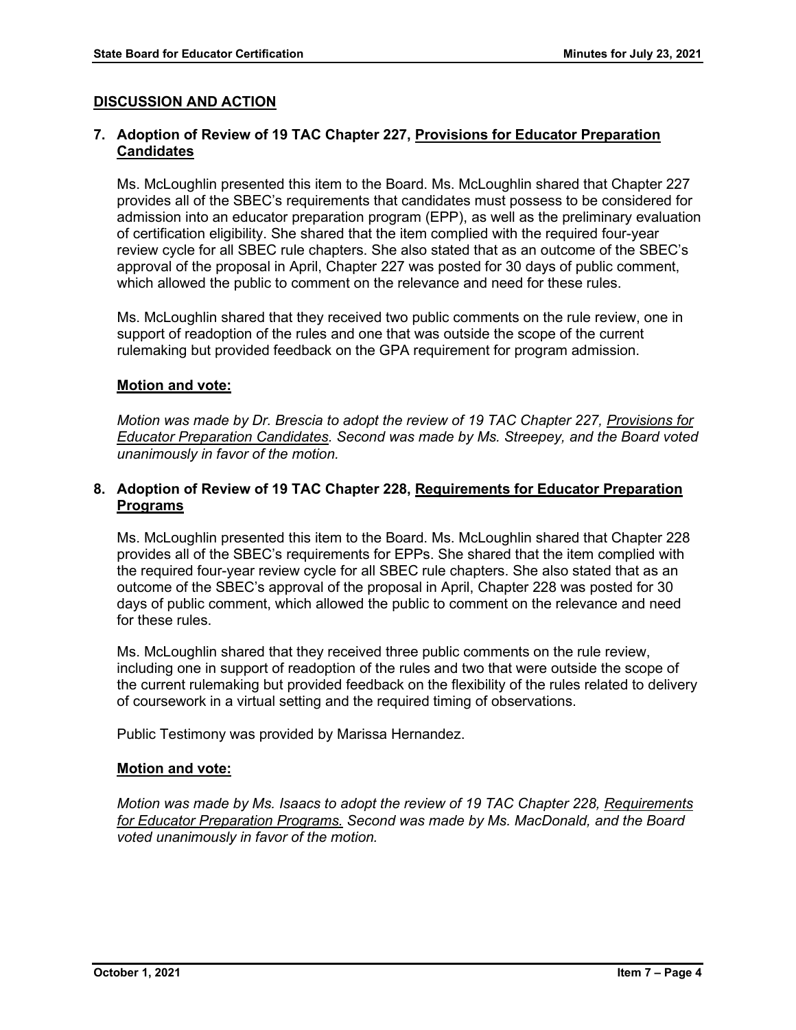# **DISCUSSION AND ACTION**

# **7. Adoption of Review of 19 TAC Chapter 227, Provisions for Educator Preparation Candidates**

Ms. McLoughlin presented this item to the Board. Ms. McLoughlin shared that Chapter 227 provides all of the SBEC's requirements that candidates must possess to be considered for admission into an educator preparation program (EPP), as well as the preliminary evaluation of certification eligibility. She shared that the item complied with the required four-year review cycle for all SBEC rule chapters. She also stated that as an outcome of the SBEC's approval of the proposal in April, Chapter 227 was posted for 30 days of public comment, which allowed the public to comment on the relevance and need for these rules.

Ms. McLoughlin shared that they received two public comments on the rule review, one in support of readoption of the rules and one that was outside the scope of the current rulemaking but provided feedback on the GPA requirement for program admission.

## **Motion and vote:**

*Motion was made by Dr. Brescia to adopt the review of 19 TAC Chapter 227, Provisions for Educator Preparation Candidates. Second was made by Ms. Streepey, and the Board voted unanimously in favor of the motion.*

# **8. Adoption of Review of 19 TAC Chapter 228, Requirements for Educator Preparation Programs**

Ms. McLoughlin presented this item to the Board. Ms. McLoughlin shared that Chapter 228 provides all of the SBEC's requirements for EPPs. She shared that the item complied with the required four-year review cycle for all SBEC rule chapters. She also stated that as an outcome of the SBEC's approval of the proposal in April, Chapter 228 was posted for 30 days of public comment, which allowed the public to comment on the relevance and need for these rules.

Ms. McLoughlin shared that they received three public comments on the rule review, including one in support of readoption of the rules and two that were outside the scope of the current rulemaking but provided feedback on the flexibility of the rules related to delivery of coursework in a virtual setting and the required timing of observations.

Public Testimony was provided by Marissa Hernandez.

## **Motion and vote:**

*Motion was made by Ms. Isaacs to adopt the review of 19 TAC Chapter 228, Requirements for Educator Preparation Programs. Second was made by Ms. MacDonald, and the Board voted unanimously in favor of the motion.*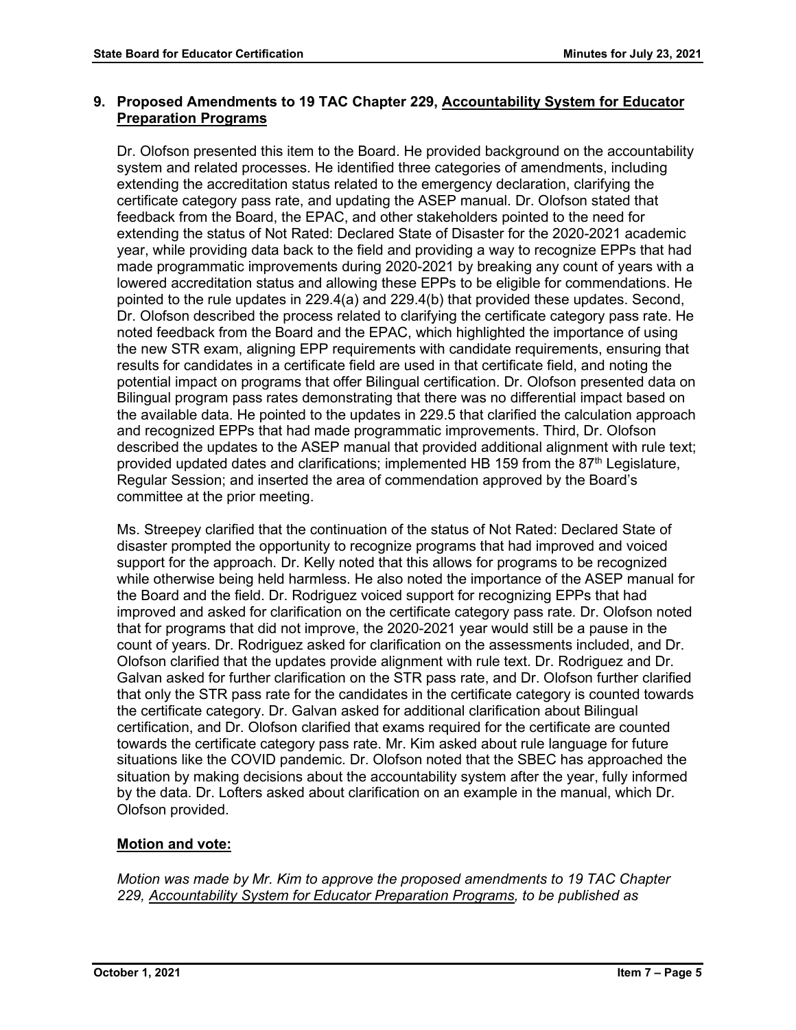# **9. Proposed Amendments to 19 TAC Chapter 229, Accountability System for Educator Preparation Programs**

Dr. Olofson presented this item to the Board. He provided background on the accountability system and related processes. He identified three categories of amendments, including extending the accreditation status related to the emergency declaration, clarifying the certificate category pass rate, and updating the ASEP manual. Dr. Olofson stated that feedback from the Board, the EPAC, and other stakeholders pointed to the need for extending the status of Not Rated: Declared State of Disaster for the 2020-2021 academic year, while providing data back to the field and providing a way to recognize EPPs that had made programmatic improvements during 2020-2021 by breaking any count of years with a lowered accreditation status and allowing these EPPs to be eligible for commendations. He pointed to the rule updates in 229.4(a) and 229.4(b) that provided these updates. Second, Dr. Olofson described the process related to clarifying the certificate category pass rate. He noted feedback from the Board and the EPAC, which highlighted the importance of using the new STR exam, aligning EPP requirements with candidate requirements, ensuring that results for candidates in a certificate field are used in that certificate field, and noting the potential impact on programs that offer Bilingual certification. Dr. Olofson presented data on Bilingual program pass rates demonstrating that there was no differential impact based on the available data. He pointed to the updates in 229.5 that clarified the calculation approach and recognized EPPs that had made programmatic improvements. Third, Dr. Olofson described the updates to the ASEP manual that provided additional alignment with rule text; provided updated dates and clarifications; implemented HB 159 from the 87<sup>th</sup> Legislature, Regular Session; and inserted the area of commendation approved by the Board's committee at the prior meeting.

Ms. Streepey clarified that the continuation of the status of Not Rated: Declared State of disaster prompted the opportunity to recognize programs that had improved and voiced support for the approach. Dr. Kelly noted that this allows for programs to be recognized while otherwise being held harmless. He also noted the importance of the ASEP manual for the Board and the field. Dr. Rodriguez voiced support for recognizing EPPs that had improved and asked for clarification on the certificate category pass rate. Dr. Olofson noted that for programs that did not improve, the 2020-2021 year would still be a pause in the count of years. Dr. Rodriguez asked for clarification on the assessments included, and Dr. Olofson clarified that the updates provide alignment with rule text. Dr. Rodriguez and Dr. Galvan asked for further clarification on the STR pass rate, and Dr. Olofson further clarified that only the STR pass rate for the candidates in the certificate category is counted towards the certificate category. Dr. Galvan asked for additional clarification about Bilingual certification, and Dr. Olofson clarified that exams required for the certificate are counted towards the certificate category pass rate. Mr. Kim asked about rule language for future situations like the COVID pandemic. Dr. Olofson noted that the SBEC has approached the situation by making decisions about the accountability system after the year, fully informed by the data. Dr. Lofters asked about clarification on an example in the manual, which Dr. Olofson provided.

# **Motion and vote:**

*Motion was made by Mr. Kim to approve the proposed amendments to 19 TAC Chapter 229, Accountability System for Educator Preparation Programs, to be published as*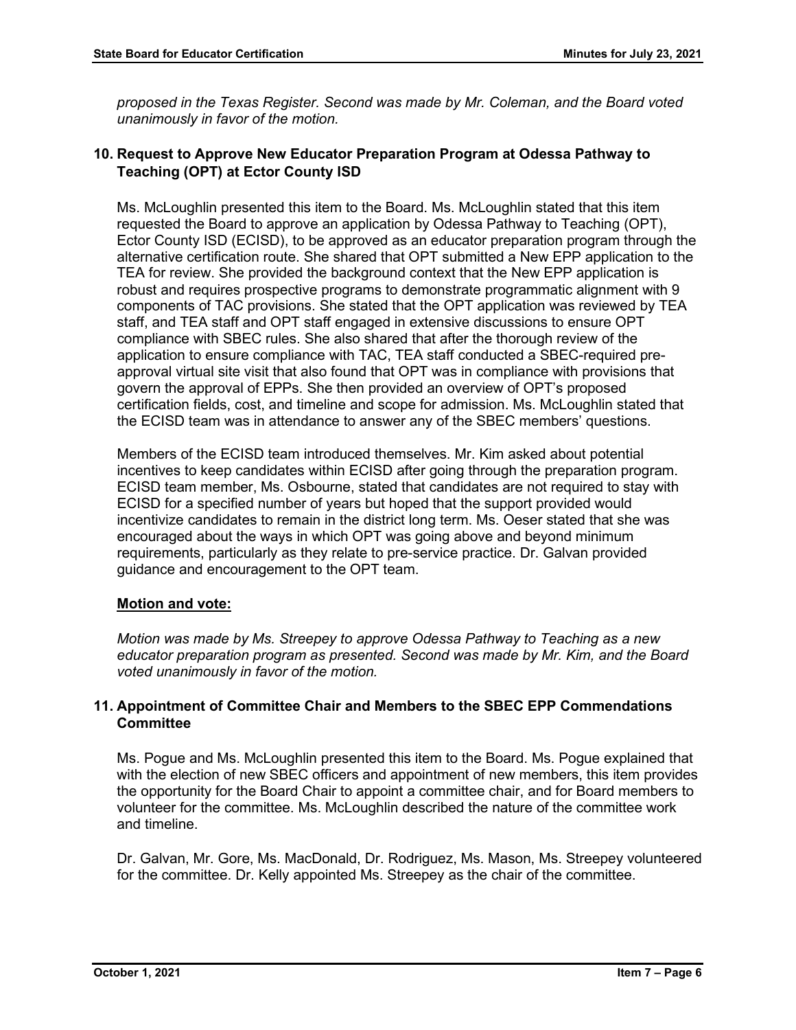*proposed in the Texas Register. Second was made by Mr. Coleman, and the Board voted unanimously in favor of the motion.*

# **10. Request to Approve New Educator Preparation Program at Odessa Pathway to Teaching (OPT) at Ector County ISD**

Ms. McLoughlin presented this item to the Board. Ms. McLoughlin stated that this item requested the Board to approve an application by Odessa Pathway to Teaching (OPT), Ector County ISD (ECISD), to be approved as an educator preparation program through the alternative certification route. She shared that OPT submitted a New EPP application to the TEA for review. She provided the background context that the New EPP application is robust and requires prospective programs to demonstrate programmatic alignment with 9 components of TAC provisions. She stated that the OPT application was reviewed by TEA staff, and TEA staff and OPT staff engaged in extensive discussions to ensure OPT compliance with SBEC rules. She also shared that after the thorough review of the application to ensure compliance with TAC, TEA staff conducted a SBEC-required preapproval virtual site visit that also found that OPT was in compliance with provisions that govern the approval of EPPs. She then provided an overview of OPT's proposed certification fields, cost, and timeline and scope for admission. Ms. McLoughlin stated that the ECISD team was in attendance to answer any of the SBEC members' questions.

Members of the ECISD team introduced themselves. Mr. Kim asked about potential incentives to keep candidates within ECISD after going through the preparation program. ECISD team member, Ms. Osbourne, stated that candidates are not required to stay with ECISD for a specified number of years but hoped that the support provided would incentivize candidates to remain in the district long term. Ms. Oeser stated that she was encouraged about the ways in which OPT was going above and beyond minimum requirements, particularly as they relate to pre-service practice. Dr. Galvan provided guidance and encouragement to the OPT team.

# **Motion and vote:**

*Motion was made by Ms. Streepey to approve Odessa Pathway to Teaching as a new educator preparation program as presented. Second was made by Mr. Kim, and the Board voted unanimously in favor of the motion.*

# **11. Appointment of Committee Chair and Members to the SBEC EPP Commendations Committee**

Ms. Pogue and Ms. McLoughlin presented this item to the Board. Ms. Pogue explained that with the election of new SBEC officers and appointment of new members, this item provides the opportunity for the Board Chair to appoint a committee chair, and for Board members to volunteer for the committee. Ms. McLoughlin described the nature of the committee work and timeline.

Dr. Galvan, Mr. Gore, Ms. MacDonald, Dr. Rodriguez, Ms. Mason, Ms. Streepey volunteered for the committee. Dr. Kelly appointed Ms. Streepey as the chair of the committee.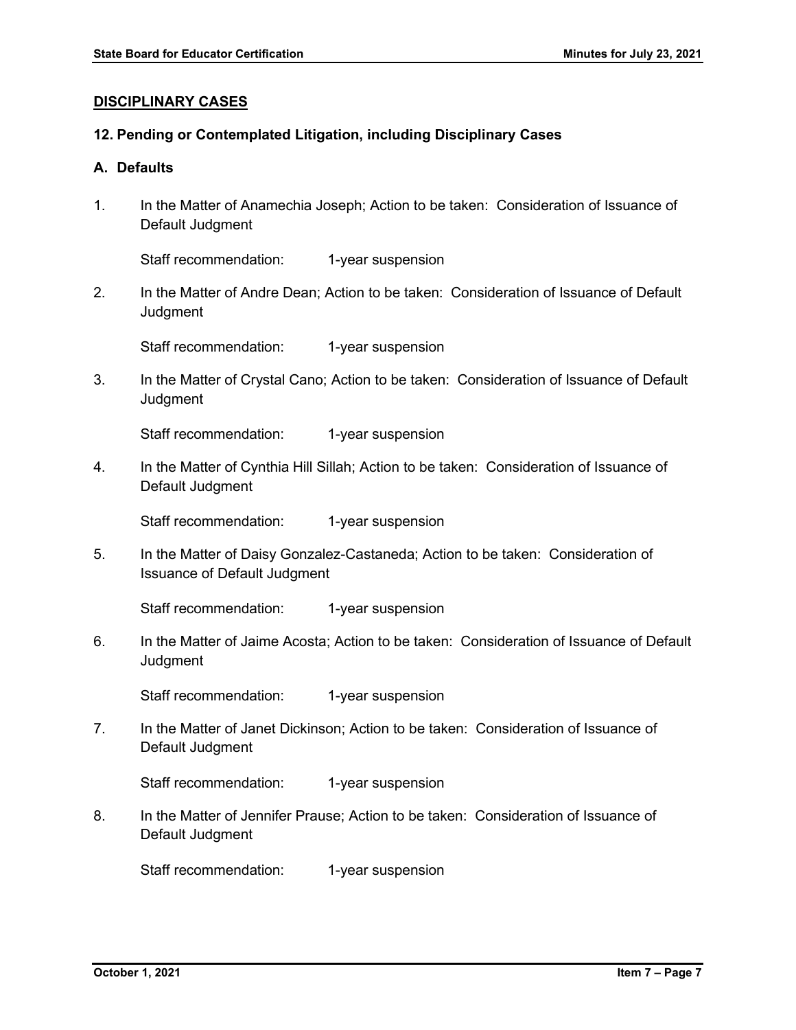### **DISCIPLINARY CASES**

### **12. Pending or Contemplated Litigation, including Disciplinary Cases**

# **A. Defaults**

1. In the Matter of Anamechia Joseph; Action to be taken: Consideration of Issuance of Default Judgment

Staff recommendation: 1-year suspension

2. In the Matter of Andre Dean; Action to be taken: Consideration of Issuance of Default **Judgment** 

Staff recommendation: 1-year suspension

3. In the Matter of Crystal Cano; Action to be taken: Consideration of Issuance of Default **Judgment** 

Staff recommendation: 1-year suspension

4. In the Matter of Cynthia Hill Sillah; Action to be taken: Consideration of Issuance of Default Judgment

Staff recommendation: 1-year suspension

5. In the Matter of Daisy Gonzalez-Castaneda; Action to be taken: Consideration of Issuance of Default Judgment

Staff recommendation: 1-year suspension

6. In the Matter of Jaime Acosta; Action to be taken: Consideration of Issuance of Default **Judgment** 

Staff recommendation: 1-year suspension

7. In the Matter of Janet Dickinson; Action to be taken: Consideration of Issuance of Default Judgment

Staff recommendation: 1-year suspension

8. In the Matter of Jennifer Prause; Action to be taken: Consideration of Issuance of Default Judgment

Staff recommendation: 1-year suspension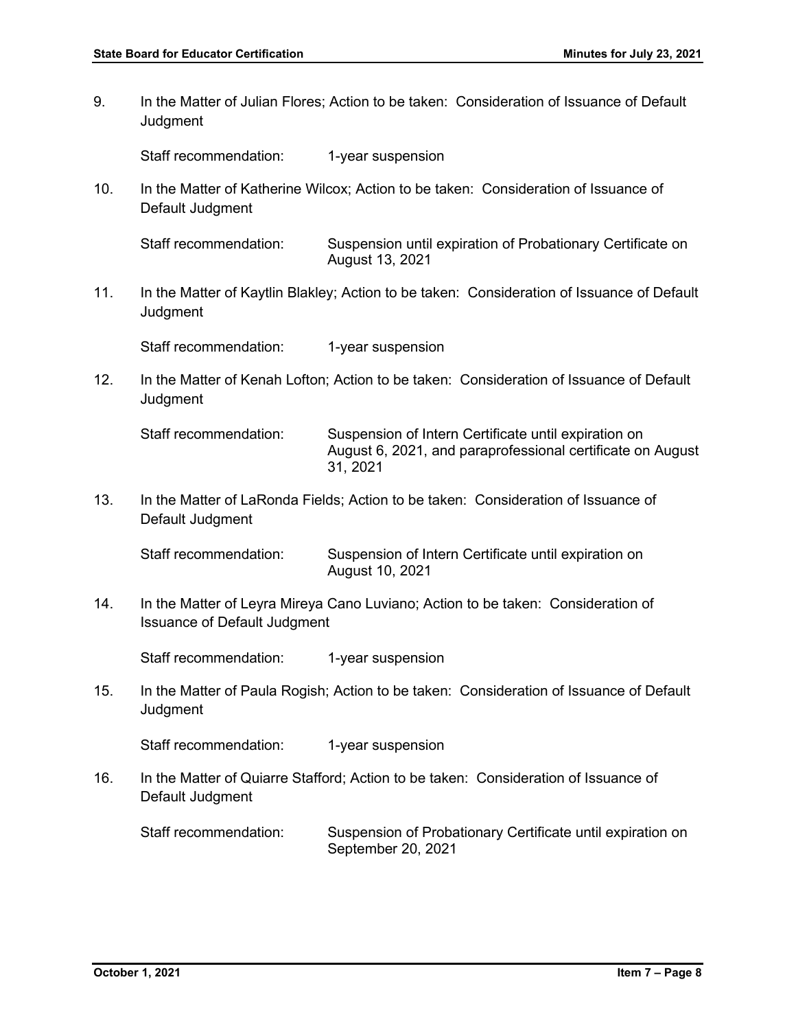9. In the Matter of Julian Flores; Action to be taken: Consideration of Issuance of Default **Judgment** 

Staff recommendation: 1-year suspension

10. In the Matter of Katherine Wilcox; Action to be taken: Consideration of Issuance of Default Judgment

Staff recommendation: Suspension until expiration of Probationary Certificate on August 13, 2021

11. In the Matter of Kaytlin Blakley; Action to be taken: Consideration of Issuance of Default **Judament** 

Staff recommendation: 1-year suspension

12. In the Matter of Kenah Lofton; Action to be taken: Consideration of Issuance of Default **Judgment** 

Staff recommendation: Suspension of Intern Certificate until expiration on August 6, 2021, and paraprofessional certificate on August 31, 2021

13. In the Matter of LaRonda Fields; Action to be taken: Consideration of Issuance of Default Judgment

Staff recommendation: Suspension of Intern Certificate until expiration on August 10, 2021

14. In the Matter of Leyra Mireya Cano Luviano; Action to be taken: Consideration of Issuance of Default Judgment

Staff recommendation: 1-year suspension

15. In the Matter of Paula Rogish; Action to be taken: Consideration of Issuance of Default **Judament** 

Staff recommendation: 1-year suspension

16. In the Matter of Quiarre Stafford; Action to be taken: Consideration of Issuance of Default Judgment

Staff recommendation: Suspension of Probationary Certificate until expiration on September 20, 2021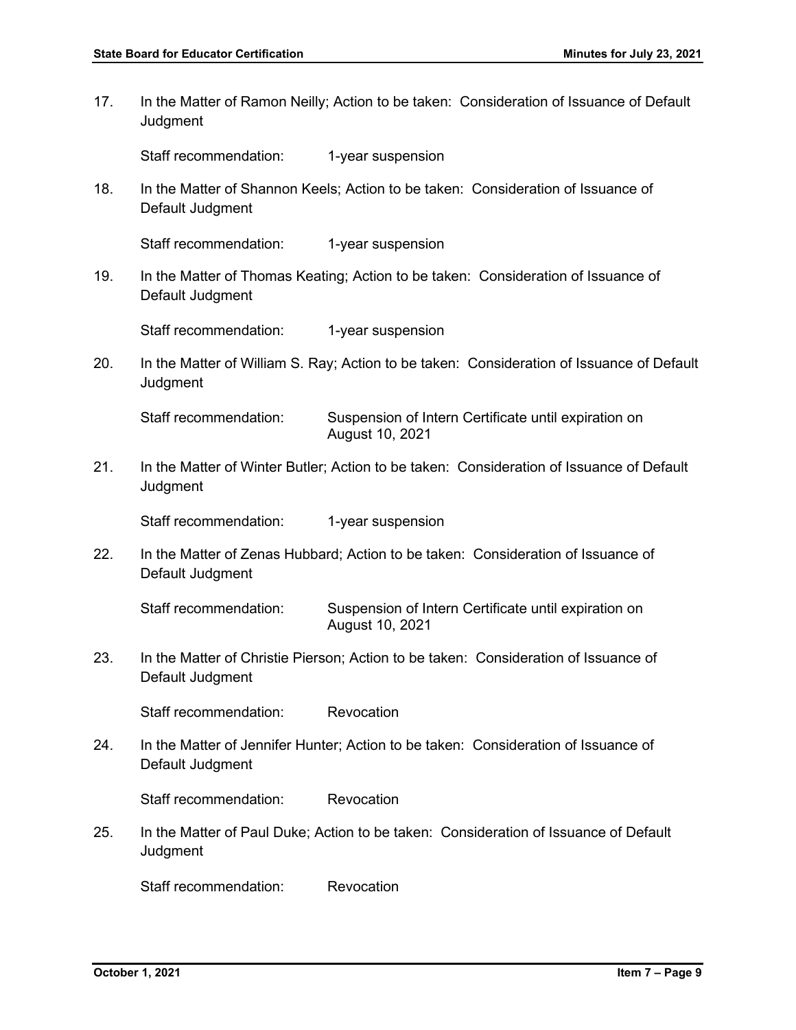17. In the Matter of Ramon Neilly; Action to be taken: Consideration of Issuance of Default **Judgment** Staff recommendation: 1-year suspension 18. In the Matter of Shannon Keels; Action to be taken: Consideration of Issuance of Default Judgment Staff recommendation: 1-year suspension 19. In the Matter of Thomas Keating; Action to be taken: Consideration of Issuance of Default Judgment Staff recommendation: 1-year suspension 20. In the Matter of William S. Ray; Action to be taken: Consideration of Issuance of Default **Judgment** Staff recommendation: Suspension of Intern Certificate until expiration on August 10, 2021 21. In the Matter of Winter Butler; Action to be taken: Consideration of Issuance of Default **Judgment** Staff recommendation: 1-year suspension 22. In the Matter of Zenas Hubbard; Action to be taken: Consideration of Issuance of Default Judgment Staff recommendation: Suspension of Intern Certificate until expiration on August 10, 2021 23. In the Matter of Christie Pierson; Action to be taken: Consideration of Issuance of Default Judgment Staff recommendation: Revocation 24. In the Matter of Jennifer Hunter; Action to be taken: Consideration of Issuance of Default Judgment Staff recommendation: Revocation 25. In the Matter of Paul Duke; Action to be taken: Consideration of Issuance of Default **Judgment** Staff recommendation: Revocation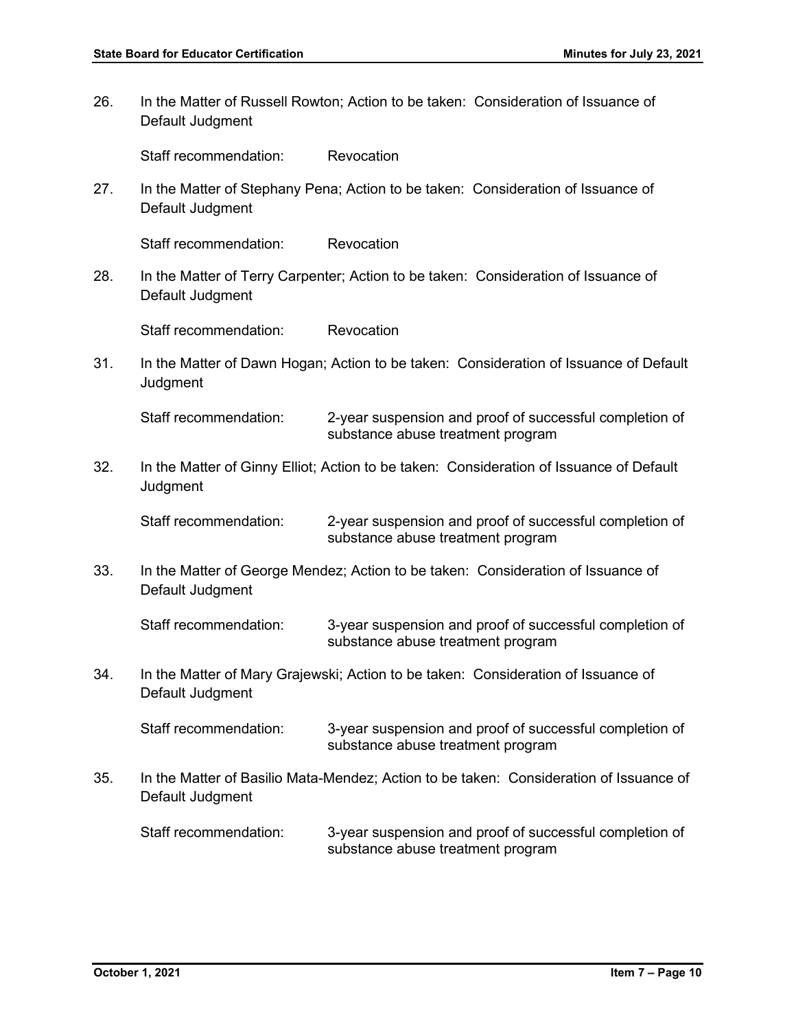26. In the Matter of Russell Rowton; Action to be taken: Consideration of Issuance of Default Judgment Staff recommendation: Revocation 27. In the Matter of Stephany Pena; Action to be taken: Consideration of Issuance of Default Judgment Staff recommendation: Revocation 28. In the Matter of Terry Carpenter; Action to be taken: Consideration of Issuance of Default Judgment Staff recommendation: Revocation 31. In the Matter of Dawn Hogan; Action to be taken: Consideration of Issuance of Default **Judgment** Staff recommendation: 2-year suspension and proof of successful completion of substance abuse treatment program 32. In the Matter of Ginny Elliot; Action to be taken: Consideration of Issuance of Default **Judgment** Staff recommendation: 2-year suspension and proof of successful completion of substance abuse treatment program 33. In the Matter of George Mendez; Action to be taken: Consideration of Issuance of Default Judgment Staff recommendation: 3-year suspension and proof of successful completion of substance abuse treatment program 34. In the Matter of Mary Grajewski; Action to be taken: Consideration of Issuance of Default Judgment Staff recommendation: 3-year suspension and proof of successful completion of substance abuse treatment program 35. In the Matter of Basilio Mata-Mendez; Action to be taken: Consideration of Issuance of Default Judgment Staff recommendation: 3-year suspension and proof of successful completion of substance abuse treatment program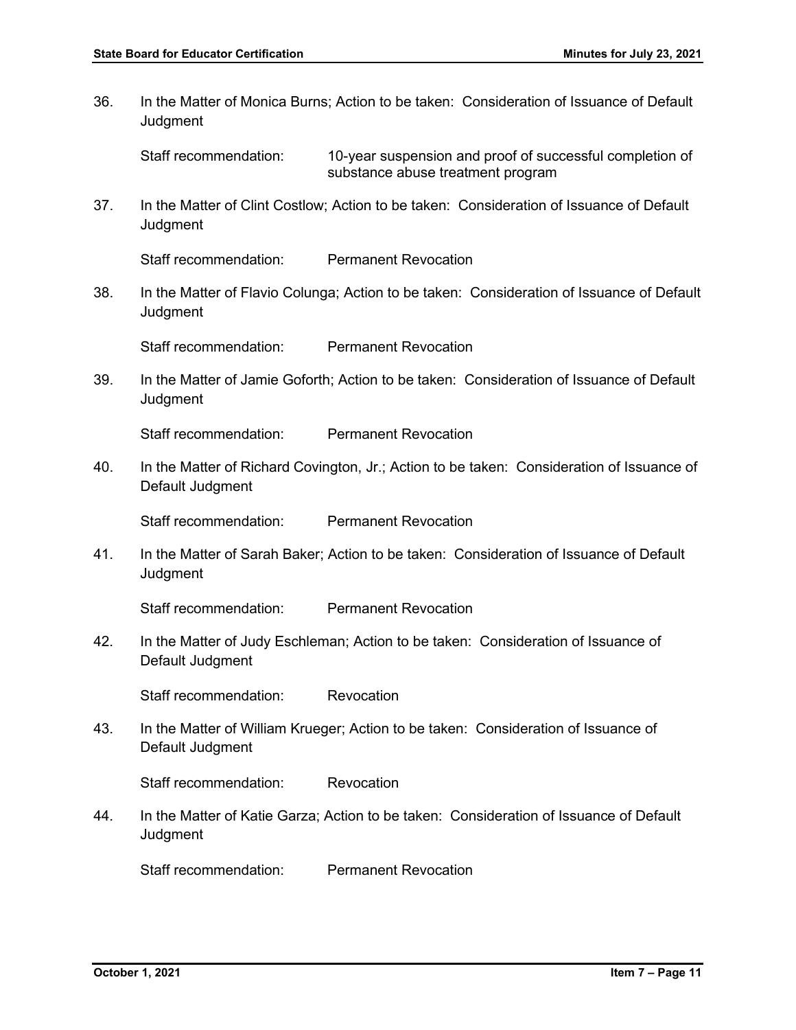36. In the Matter of Monica Burns; Action to be taken: Consideration of Issuance of Default **Judgment** 

Staff recommendation: 10-year suspension and proof of successful completion of substance abuse treatment program

37. In the Matter of Clint Costlow; Action to be taken: Consideration of Issuance of Default **Judgment** 

Staff recommendation: Permanent Revocation

38. In the Matter of Flavio Colunga; Action to be taken: Consideration of Issuance of Default **Judgment** 

Staff recommendation: Permanent Revocation

39. In the Matter of Jamie Goforth; Action to be taken: Consideration of Issuance of Default **Judgment** 

Staff recommendation: Permanent Revocation

40. In the Matter of Richard Covington, Jr.; Action to be taken: Consideration of Issuance of Default Judgment

Staff recommendation: Permanent Revocation

41. In the Matter of Sarah Baker; Action to be taken: Consideration of Issuance of Default **Judgment** 

Staff recommendation: Permanent Revocation

42. In the Matter of Judy Eschleman; Action to be taken: Consideration of Issuance of Default Judgment

Staff recommendation: Revocation

43. In the Matter of William Krueger; Action to be taken: Consideration of Issuance of Default Judgment

Staff recommendation: Revocation

44. In the Matter of Katie Garza; Action to be taken: Consideration of Issuance of Default **Judgment** 

Staff recommendation: Permanent Revocation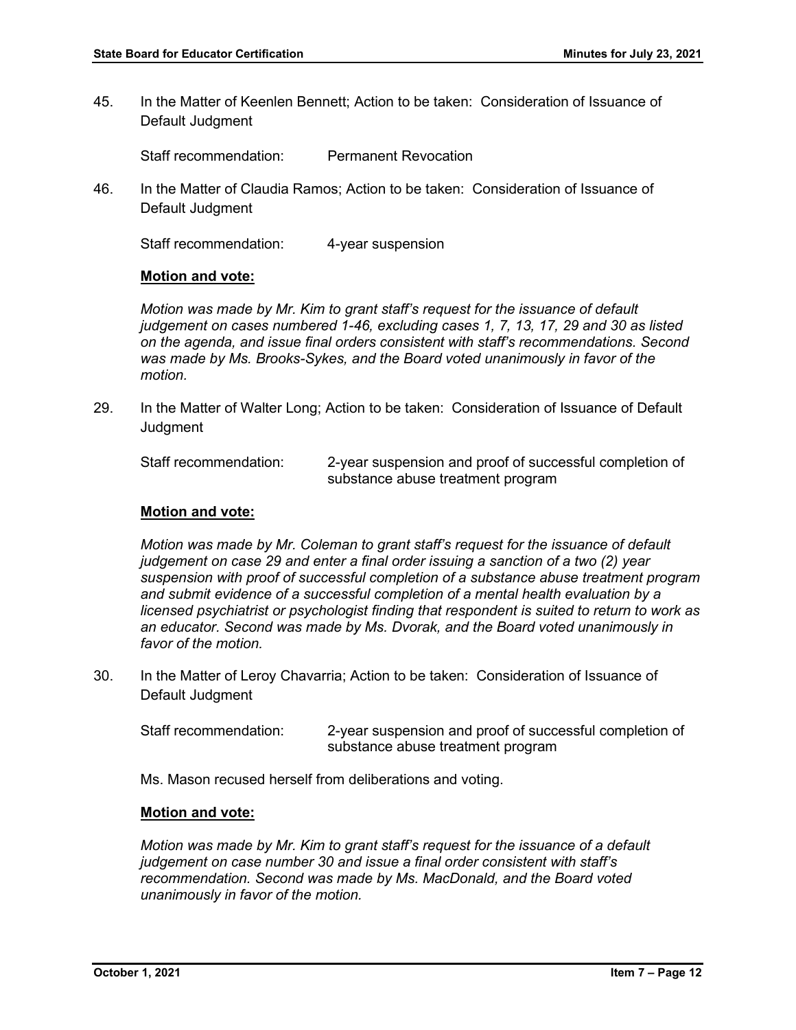45. In the Matter of Keenlen Bennett; Action to be taken: Consideration of Issuance of Default Judgment

Staff recommendation: Permanent Revocation

46. In the Matter of Claudia Ramos; Action to be taken: Consideration of Issuance of Default Judgment

Staff recommendation: 4-year suspension

#### **Motion and vote:**

*Motion was made by Mr. Kim to grant staff's request for the issuance of default judgement on cases numbered 1-46, excluding cases 1, 7, 13, 17, 29 and 30 as listed on the agenda, and issue final orders consistent with staff's recommendations. Second was made by Ms. Brooks-Sykes, and the Board voted unanimously in favor of the motion.* 

29. In the Matter of Walter Long; Action to be taken: Consideration of Issuance of Default **Judgment** 

Staff recommendation: 2-year suspension and proof of successful completion of substance abuse treatment program

### **Motion and vote:**

*Motion was made by Mr. Coleman to grant staff's request for the issuance of default judgement on case 29 and enter a final order issuing a sanction of a two (2) year suspension with proof of successful completion of a substance abuse treatment program and submit evidence of a successful completion of a mental health evaluation by a licensed psychiatrist or psychologist finding that respondent is suited to return to work as an educator. Second was made by Ms. Dvorak, and the Board voted unanimously in favor of the motion.* 

- 30. In the Matter of Leroy Chavarria; Action to be taken: Consideration of Issuance of Default Judgment
	- Staff recommendation: 2-year suspension and proof of successful completion of substance abuse treatment program

Ms. Mason recused herself from deliberations and voting.

#### **Motion and vote:**

*Motion was made by Mr. Kim to grant staff's request for the issuance of a default judgement on case number 30 and issue a final order consistent with staff's recommendation. Second was made by Ms. MacDonald, and the Board voted unanimously in favor of the motion.*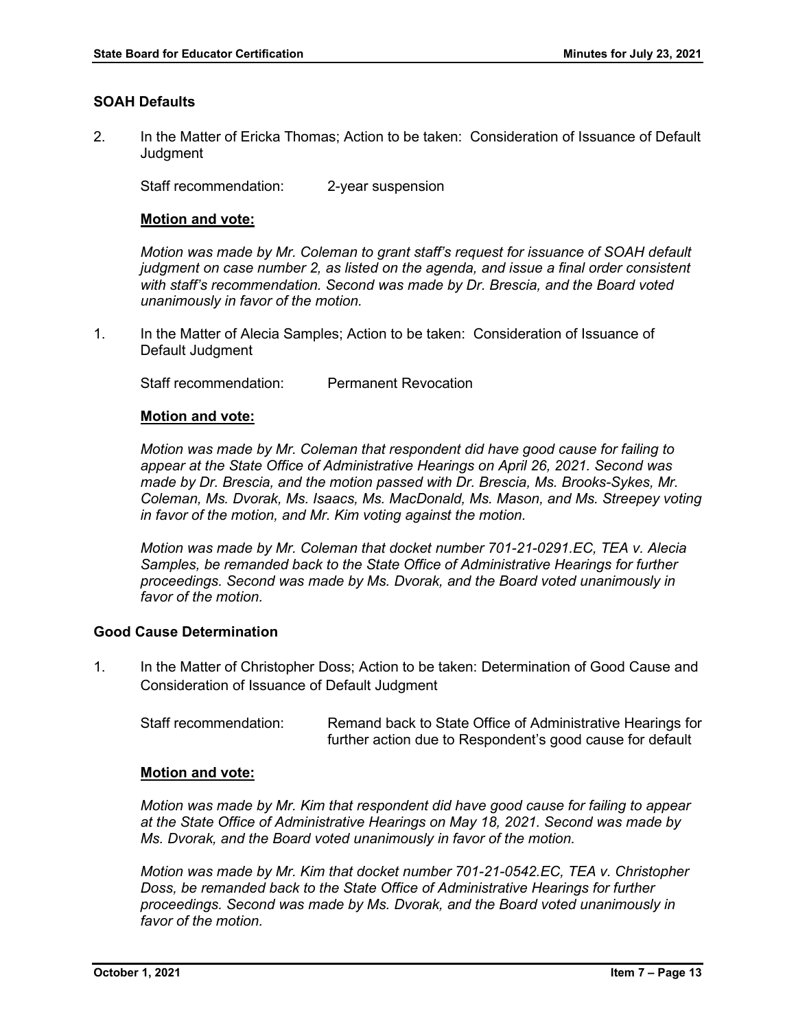# **SOAH Defaults**

2. In the Matter of Ericka Thomas; Action to be taken: Consideration of Issuance of Default **Judament** 

Staff recommendation: 2-year suspension

# **Motion and vote:**

*Motion was made by Mr. Coleman to grant staff's request for issuance of SOAH default judgment on case number 2, as listed on the agenda, and issue a final order consistent with staff's recommendation. Second was made by Dr. Brescia, and the Board voted unanimously in favor of the motion.* 

1. In the Matter of Alecia Samples; Action to be taken: Consideration of Issuance of Default Judgment

Staff recommendation: Permanent Revocation

# **Motion and vote:**

*Motion was made by Mr. Coleman that respondent did have good cause for failing to appear at the State Office of Administrative Hearings on April 26, 2021. Second was made by Dr. Brescia, and the motion passed with Dr. Brescia, Ms. Brooks-Sykes, Mr. Coleman, Ms. Dvorak, Ms. Isaacs, Ms. MacDonald, Ms. Mason, and Ms. Streepey voting in favor of the motion, and Mr. Kim voting against the motion.*

*Motion was made by Mr. Coleman that docket number 701-21-0291.EC, TEA v. Alecia Samples, be remanded back to the State Office of Administrative Hearings for further proceedings. Second was made by Ms. Dvorak, and the Board voted unanimously in favor of the motion.* 

# **Good Cause Determination**

1. In the Matter of Christopher Doss; Action to be taken: Determination of Good Cause and Consideration of Issuance of Default Judgment

Staff recommendation: Remand back to State Office of Administrative Hearings for further action due to Respondent's good cause for default

## **Motion and vote:**

*Motion was made by Mr. Kim that respondent did have good cause for failing to appear at the State Office of Administrative Hearings on May 18, 2021. Second was made by Ms. Dvorak, and the Board voted unanimously in favor of the motion.* 

*Motion was made by Mr. Kim that docket number 701-21-0542.EC, TEA v. Christopher Doss, be remanded back to the State Office of Administrative Hearings for further proceedings. Second was made by Ms. Dvorak, and the Board voted unanimously in favor of the motion.*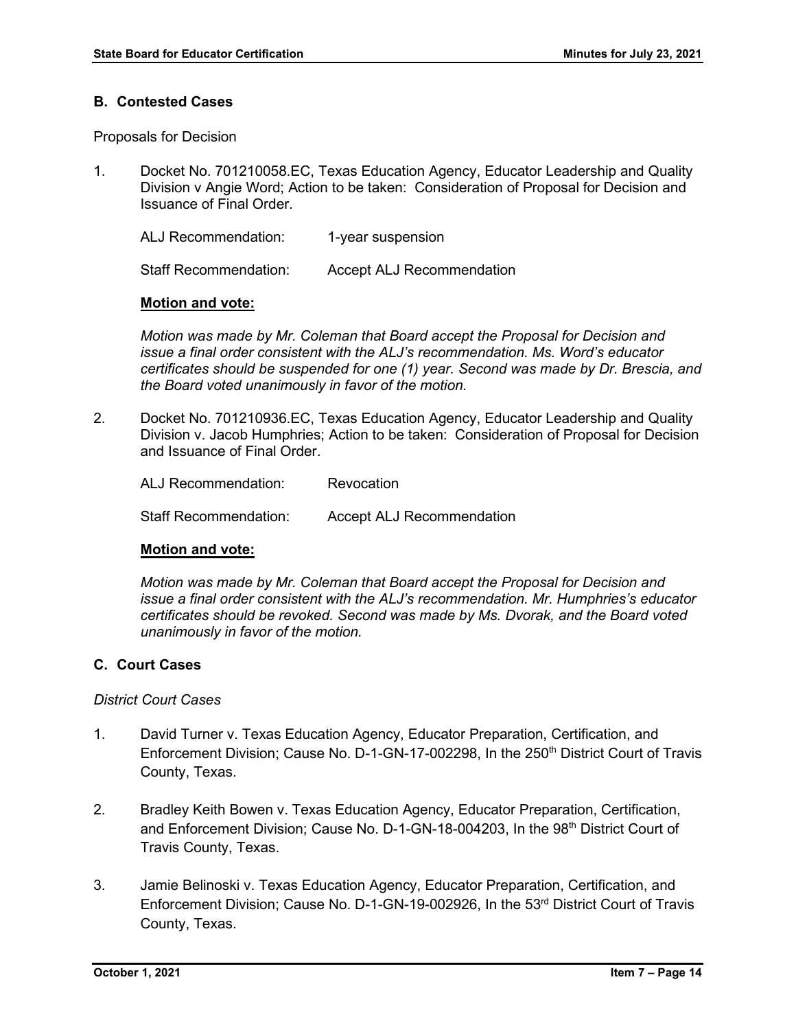# **B. Contested Cases**

Proposals for Decision

1. Docket No. 701210058.EC, Texas Education Agency, Educator Leadership and Quality Division v Angie Word; Action to be taken: Consideration of Proposal for Decision and Issuance of Final Order.

ALJ Recommendation: 1-year suspension

Staff Recommendation: Accept ALJ Recommendation

# **Motion and vote:**

*Motion was made by Mr. Coleman that Board accept the Proposal for Decision and issue a final order consistent with the ALJ's recommendation. Ms. Word's educator certificates should be suspended for one (1) year. Second was made by Dr. Brescia, and the Board voted unanimously in favor of the motion.* 

2. Docket No. 701210936.EC, Texas Education Agency, Educator Leadership and Quality Division v. Jacob Humphries; Action to be taken: Consideration of Proposal for Decision and Issuance of Final Order.

| ALJ Recommendation:   | Revocation                       |
|-----------------------|----------------------------------|
| Staff Recommendation: | <b>Accept ALJ Recommendation</b> |

# **Motion and vote:**

*Motion was made by Mr. Coleman that Board accept the Proposal for Decision and issue a final order consistent with the ALJ's recommendation. Mr. Humphries's educator certificates should be revoked. Second was made by Ms. Dvorak, and the Board voted unanimously in favor of the motion.* 

# **C. Court Cases**

## *District Court Cases*

- 1. David Turner v. Texas Education Agency, Educator Preparation, Certification, and Enforcement Division; Cause No. D-1-GN-17-002298, In the 250<sup>th</sup> District Court of Travis County, Texas.
- 2. Bradley Keith Bowen v. Texas Education Agency, Educator Preparation, Certification, and Enforcement Division; Cause No.  $D$ -1-GN-18-004203, In the  $98<sup>th</sup>$  District Court of Travis County, Texas.
- 3. Jamie Belinoski v. Texas Education Agency, Educator Preparation, Certification, and Enforcement Division; Cause No. D-1-GN-19-002926, In the 53<sup>rd</sup> District Court of Travis County, Texas.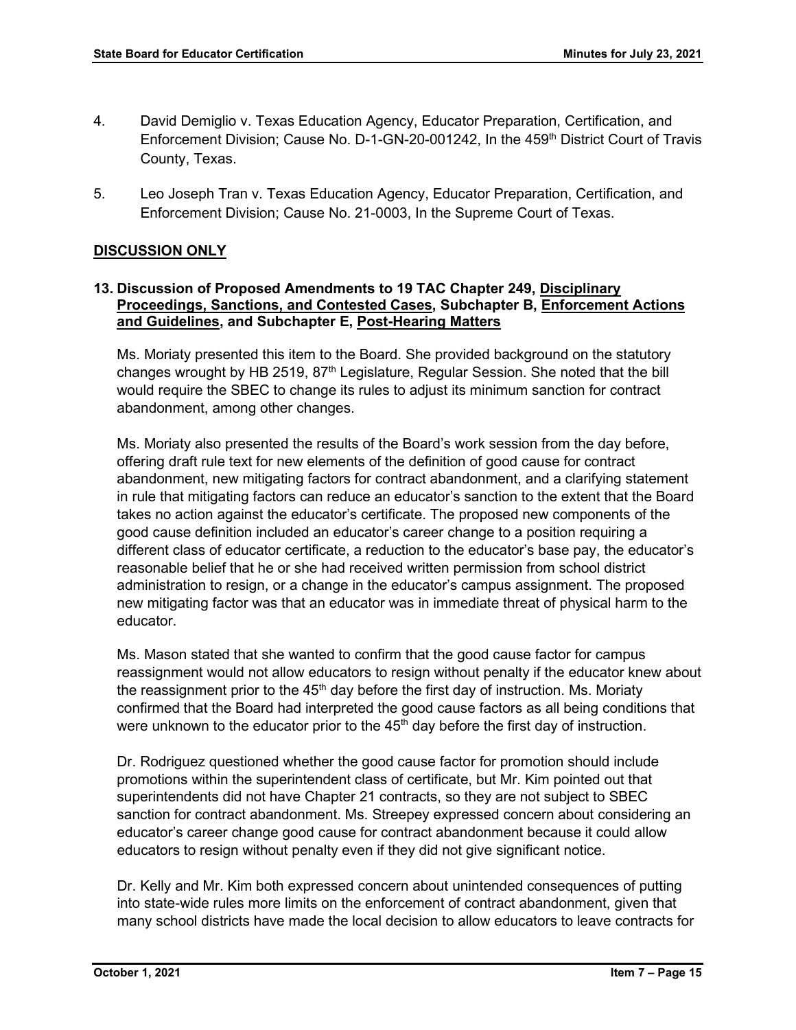- 4. David Demiglio v. Texas Education Agency, Educator Preparation, Certification, and Enforcement Division; Cause No. D-1-GN-20-001242, In the 459<sup>th</sup> District Court of Travis County, Texas.
- 5. Leo Joseph Tran v. Texas Education Agency, Educator Preparation, Certification, and Enforcement Division; Cause No. 21-0003, In the Supreme Court of Texas.

# **DISCUSSION ONLY**

# **13. Discussion of Proposed Amendments to 19 TAC Chapter 249, Disciplinary Proceedings, Sanctions, and Contested Cases, Subchapter B, Enforcement Actions and Guidelines, and Subchapter E, Post-Hearing Matters**

Ms. Moriaty presented this item to the Board. She provided background on the statutory changes wrought by HB 2519,  $87<sup>th</sup>$  Legislature, Regular Session. She noted that the bill would require the SBEC to change its rules to adjust its minimum sanction for contract abandonment, among other changes.

Ms. Moriaty also presented the results of the Board's work session from the day before, offering draft rule text for new elements of the definition of good cause for contract abandonment, new mitigating factors for contract abandonment, and a clarifying statement in rule that mitigating factors can reduce an educator's sanction to the extent that the Board takes no action against the educator's certificate. The proposed new components of the good cause definition included an educator's career change to a position requiring a different class of educator certificate, a reduction to the educator's base pay, the educator's reasonable belief that he or she had received written permission from school district administration to resign, or a change in the educator's campus assignment. The proposed new mitigating factor was that an educator was in immediate threat of physical harm to the educator.

Ms. Mason stated that she wanted to confirm that the good cause factor for campus reassignment would not allow educators to resign without penalty if the educator knew about the reassignment prior to the  $45<sup>th</sup>$  day before the first day of instruction. Ms. Moriaty confirmed that the Board had interpreted the good cause factors as all being conditions that were unknown to the educator prior to the  $45<sup>th</sup>$  day before the first day of instruction.

Dr. Rodriguez questioned whether the good cause factor for promotion should include promotions within the superintendent class of certificate, but Mr. Kim pointed out that superintendents did not have Chapter 21 contracts, so they are not subject to SBEC sanction for contract abandonment. Ms. Streepey expressed concern about considering an educator's career change good cause for contract abandonment because it could allow educators to resign without penalty even if they did not give significant notice.

Dr. Kelly and Mr. Kim both expressed concern about unintended consequences of putting into state-wide rules more limits on the enforcement of contract abandonment, given that many school districts have made the local decision to allow educators to leave contracts for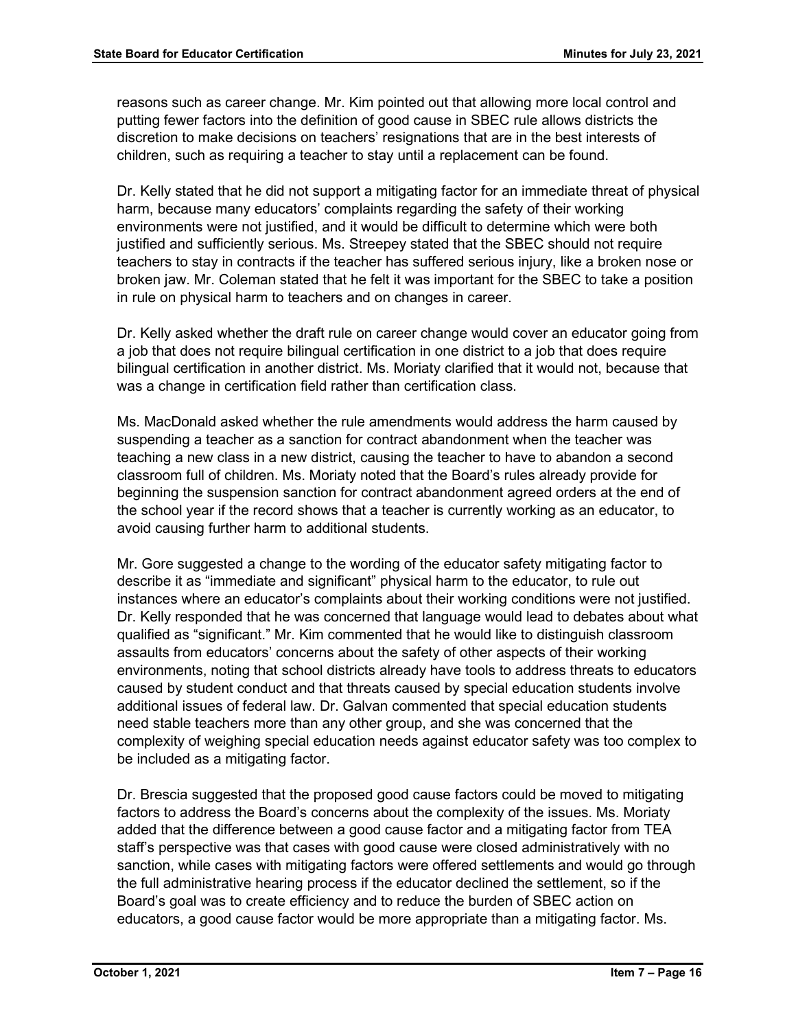reasons such as career change. Mr. Kim pointed out that allowing more local control and putting fewer factors into the definition of good cause in SBEC rule allows districts the discretion to make decisions on teachers' resignations that are in the best interests of children, such as requiring a teacher to stay until a replacement can be found.

Dr. Kelly stated that he did not support a mitigating factor for an immediate threat of physical harm, because many educators' complaints regarding the safety of their working environments were not justified, and it would be difficult to determine which were both justified and sufficiently serious. Ms. Streepey stated that the SBEC should not require teachers to stay in contracts if the teacher has suffered serious injury, like a broken nose or broken jaw. Mr. Coleman stated that he felt it was important for the SBEC to take a position in rule on physical harm to teachers and on changes in career.

Dr. Kelly asked whether the draft rule on career change would cover an educator going from a job that does not require bilingual certification in one district to a job that does require bilingual certification in another district. Ms. Moriaty clarified that it would not, because that was a change in certification field rather than certification class.

Ms. MacDonald asked whether the rule amendments would address the harm caused by suspending a teacher as a sanction for contract abandonment when the teacher was teaching a new class in a new district, causing the teacher to have to abandon a second classroom full of children. Ms. Moriaty noted that the Board's rules already provide for beginning the suspension sanction for contract abandonment agreed orders at the end of the school year if the record shows that a teacher is currently working as an educator, to avoid causing further harm to additional students.

Mr. Gore suggested a change to the wording of the educator safety mitigating factor to describe it as "immediate and significant" physical harm to the educator, to rule out instances where an educator's complaints about their working conditions were not justified. Dr. Kelly responded that he was concerned that language would lead to debates about what qualified as "significant." Mr. Kim commented that he would like to distinguish classroom assaults from educators' concerns about the safety of other aspects of their working environments, noting that school districts already have tools to address threats to educators caused by student conduct and that threats caused by special education students involve additional issues of federal law. Dr. Galvan commented that special education students need stable teachers more than any other group, and she was concerned that the complexity of weighing special education needs against educator safety was too complex to be included as a mitigating factor.

Dr. Brescia suggested that the proposed good cause factors could be moved to mitigating factors to address the Board's concerns about the complexity of the issues. Ms. Moriaty added that the difference between a good cause factor and a mitigating factor from TEA staff's perspective was that cases with good cause were closed administratively with no sanction, while cases with mitigating factors were offered settlements and would go through the full administrative hearing process if the educator declined the settlement, so if the Board's goal was to create efficiency and to reduce the burden of SBEC action on educators, a good cause factor would be more appropriate than a mitigating factor. Ms.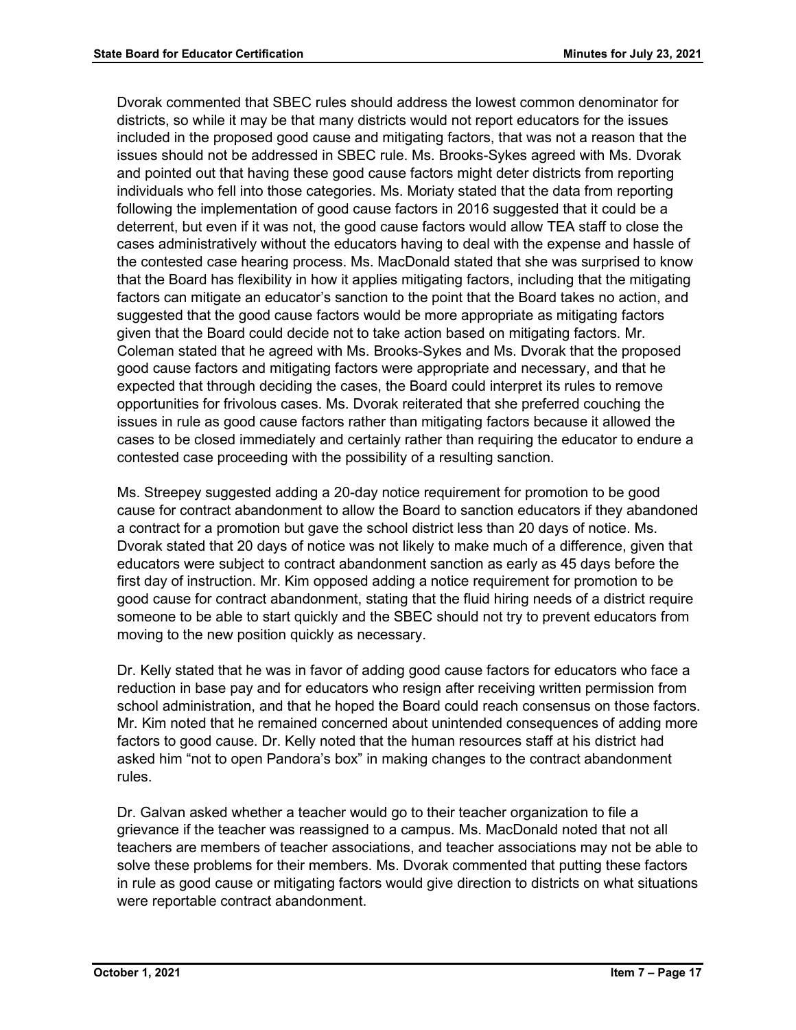Dvorak commented that SBEC rules should address the lowest common denominator for districts, so while it may be that many districts would not report educators for the issues included in the proposed good cause and mitigating factors, that was not a reason that the issues should not be addressed in SBEC rule. Ms. Brooks-Sykes agreed with Ms. Dvorak and pointed out that having these good cause factors might deter districts from reporting individuals who fell into those categories. Ms. Moriaty stated that the data from reporting following the implementation of good cause factors in 2016 suggested that it could be a deterrent, but even if it was not, the good cause factors would allow TEA staff to close the cases administratively without the educators having to deal with the expense and hassle of the contested case hearing process. Ms. MacDonald stated that she was surprised to know that the Board has flexibility in how it applies mitigating factors, including that the mitigating factors can mitigate an educator's sanction to the point that the Board takes no action, and suggested that the good cause factors would be more appropriate as mitigating factors given that the Board could decide not to take action based on mitigating factors. Mr. Coleman stated that he agreed with Ms. Brooks-Sykes and Ms. Dvorak that the proposed good cause factors and mitigating factors were appropriate and necessary, and that he expected that through deciding the cases, the Board could interpret its rules to remove opportunities for frivolous cases. Ms. Dvorak reiterated that she preferred couching the issues in rule as good cause factors rather than mitigating factors because it allowed the cases to be closed immediately and certainly rather than requiring the educator to endure a contested case proceeding with the possibility of a resulting sanction.

Ms. Streepey suggested adding a 20-day notice requirement for promotion to be good cause for contract abandonment to allow the Board to sanction educators if they abandoned a contract for a promotion but gave the school district less than 20 days of notice. Ms. Dvorak stated that 20 days of notice was not likely to make much of a difference, given that educators were subject to contract abandonment sanction as early as 45 days before the first day of instruction. Mr. Kim opposed adding a notice requirement for promotion to be good cause for contract abandonment, stating that the fluid hiring needs of a district require someone to be able to start quickly and the SBEC should not try to prevent educators from moving to the new position quickly as necessary.

Dr. Kelly stated that he was in favor of adding good cause factors for educators who face a reduction in base pay and for educators who resign after receiving written permission from school administration, and that he hoped the Board could reach consensus on those factors. Mr. Kim noted that he remained concerned about unintended consequences of adding more factors to good cause. Dr. Kelly noted that the human resources staff at his district had asked him "not to open Pandora's box" in making changes to the contract abandonment rules.

Dr. Galvan asked whether a teacher would go to their teacher organization to file a grievance if the teacher was reassigned to a campus. Ms. MacDonald noted that not all teachers are members of teacher associations, and teacher associations may not be able to solve these problems for their members. Ms. Dvorak commented that putting these factors in rule as good cause or mitigating factors would give direction to districts on what situations were reportable contract abandonment.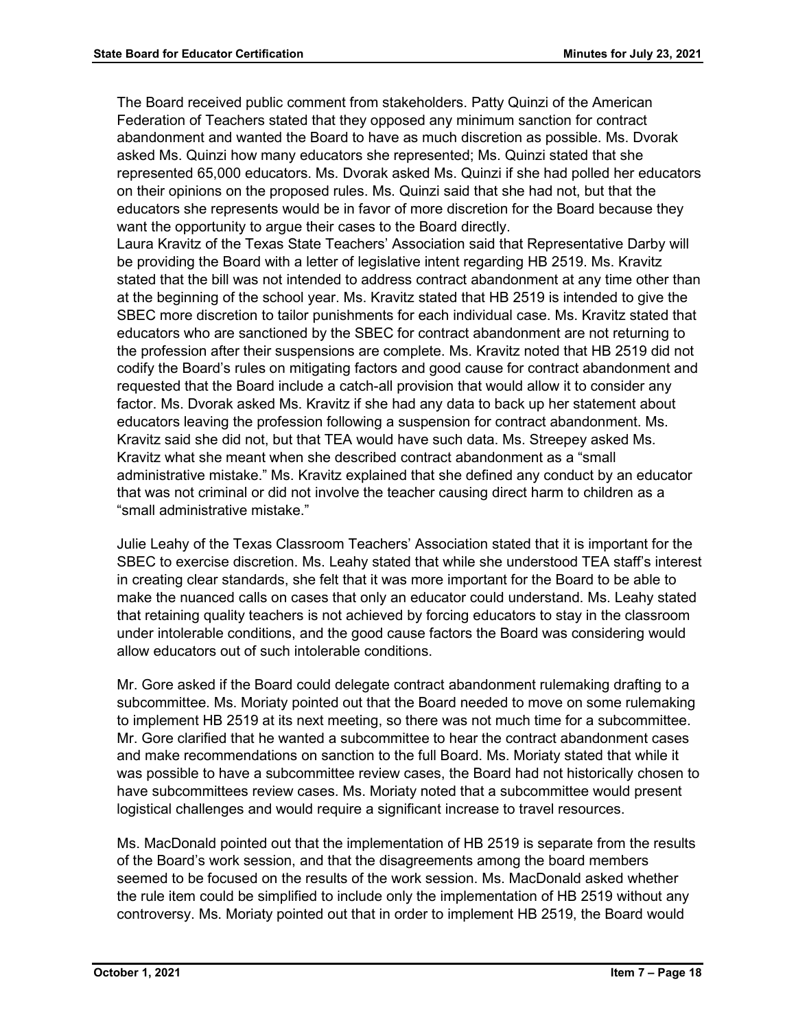The Board received public comment from stakeholders. Patty Quinzi of the American Federation of Teachers stated that they opposed any minimum sanction for contract abandonment and wanted the Board to have as much discretion as possible. Ms. Dvorak asked Ms. Quinzi how many educators she represented; Ms. Quinzi stated that she represented 65,000 educators. Ms. Dvorak asked Ms. Quinzi if she had polled her educators on their opinions on the proposed rules. Ms. Quinzi said that she had not, but that the educators she represents would be in favor of more discretion for the Board because they want the opportunity to argue their cases to the Board directly.

Laura Kravitz of the Texas State Teachers' Association said that Representative Darby will be providing the Board with a letter of legislative intent regarding HB 2519. Ms. Kravitz stated that the bill was not intended to address contract abandonment at any time other than at the beginning of the school year. Ms. Kravitz stated that HB 2519 is intended to give the SBEC more discretion to tailor punishments for each individual case. Ms. Kravitz stated that educators who are sanctioned by the SBEC for contract abandonment are not returning to the profession after their suspensions are complete. Ms. Kravitz noted that HB 2519 did not codify the Board's rules on mitigating factors and good cause for contract abandonment and requested that the Board include a catch-all provision that would allow it to consider any factor. Ms. Dvorak asked Ms. Kravitz if she had any data to back up her statement about educators leaving the profession following a suspension for contract abandonment. Ms. Kravitz said she did not, but that TEA would have such data. Ms. Streepey asked Ms. Kravitz what she meant when she described contract abandonment as a "small administrative mistake." Ms. Kravitz explained that she defined any conduct by an educator that was not criminal or did not involve the teacher causing direct harm to children as a "small administrative mistake."

Julie Leahy of the Texas Classroom Teachers' Association stated that it is important for the SBEC to exercise discretion. Ms. Leahy stated that while she understood TEA staff's interest in creating clear standards, she felt that it was more important for the Board to be able to make the nuanced calls on cases that only an educator could understand. Ms. Leahy stated that retaining quality teachers is not achieved by forcing educators to stay in the classroom under intolerable conditions, and the good cause factors the Board was considering would allow educators out of such intolerable conditions.

Mr. Gore asked if the Board could delegate contract abandonment rulemaking drafting to a subcommittee. Ms. Moriaty pointed out that the Board needed to move on some rulemaking to implement HB 2519 at its next meeting, so there was not much time for a subcommittee. Mr. Gore clarified that he wanted a subcommittee to hear the contract abandonment cases and make recommendations on sanction to the full Board. Ms. Moriaty stated that while it was possible to have a subcommittee review cases, the Board had not historically chosen to have subcommittees review cases. Ms. Moriaty noted that a subcommittee would present logistical challenges and would require a significant increase to travel resources.

Ms. MacDonald pointed out that the implementation of HB 2519 is separate from the results of the Board's work session, and that the disagreements among the board members seemed to be focused on the results of the work session. Ms. MacDonald asked whether the rule item could be simplified to include only the implementation of HB 2519 without any controversy. Ms. Moriaty pointed out that in order to implement HB 2519, the Board would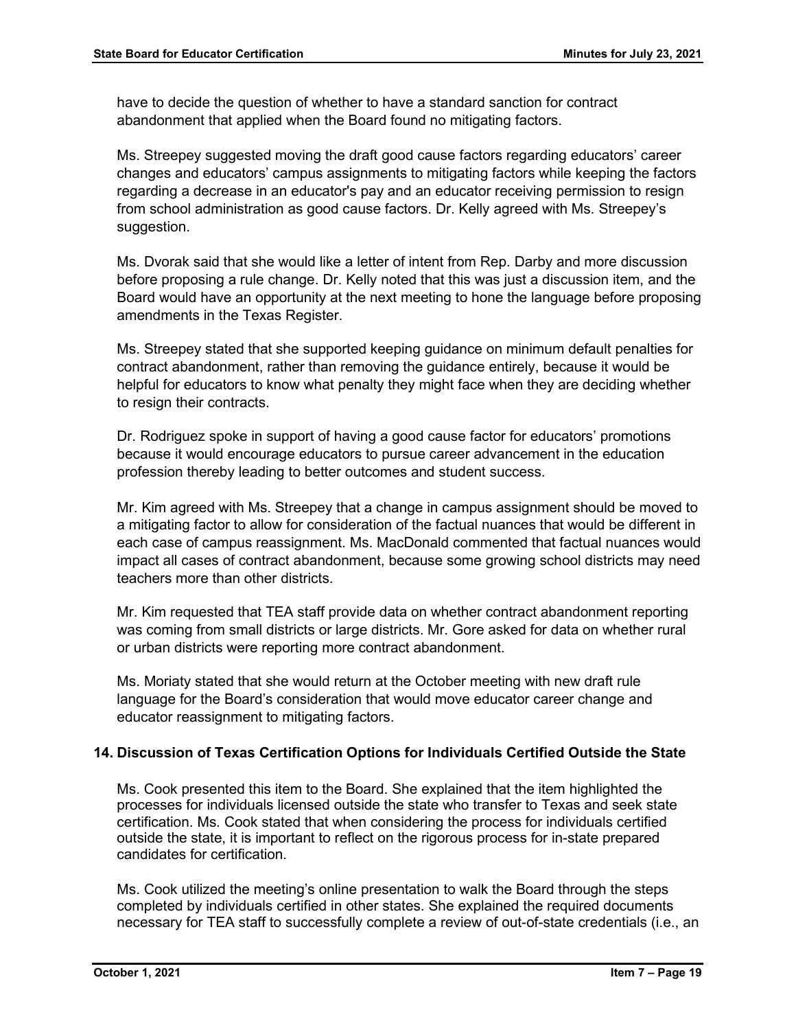have to decide the question of whether to have a standard sanction for contract abandonment that applied when the Board found no mitigating factors.

Ms. Streepey suggested moving the draft good cause factors regarding educators' career changes and educators' campus assignments to mitigating factors while keeping the factors regarding a decrease in an educator's pay and an educator receiving permission to resign from school administration as good cause factors. Dr. Kelly agreed with Ms. Streepey's suggestion.

Ms. Dvorak said that she would like a letter of intent from Rep. Darby and more discussion before proposing a rule change. Dr. Kelly noted that this was just a discussion item, and the Board would have an opportunity at the next meeting to hone the language before proposing amendments in the Texas Register.

Ms. Streepey stated that she supported keeping guidance on minimum default penalties for contract abandonment, rather than removing the guidance entirely, because it would be helpful for educators to know what penalty they might face when they are deciding whether to resign their contracts.

Dr. Rodriguez spoke in support of having a good cause factor for educators' promotions because it would encourage educators to pursue career advancement in the education profession thereby leading to better outcomes and student success.

Mr. Kim agreed with Ms. Streepey that a change in campus assignment should be moved to a mitigating factor to allow for consideration of the factual nuances that would be different in each case of campus reassignment. Ms. MacDonald commented that factual nuances would impact all cases of contract abandonment, because some growing school districts may need teachers more than other districts.

Mr. Kim requested that TEA staff provide data on whether contract abandonment reporting was coming from small districts or large districts. Mr. Gore asked for data on whether rural or urban districts were reporting more contract abandonment.

Ms. Moriaty stated that she would return at the October meeting with new draft rule language for the Board's consideration that would move educator career change and educator reassignment to mitigating factors.

# **14. Discussion of Texas Certification Options for Individuals Certified Outside the State**

Ms. Cook presented this item to the Board. She explained that the item highlighted the processes for individuals licensed outside the state who transfer to Texas and seek state certification. Ms. Cook stated that when considering the process for individuals certified outside the state, it is important to reflect on the rigorous process for in-state prepared candidates for certification.

Ms. Cook utilized the meeting's online presentation to walk the Board through the steps completed by individuals certified in other states. She explained the required documents necessary for TEA staff to successfully complete a review of out-of-state credentials (i.e., an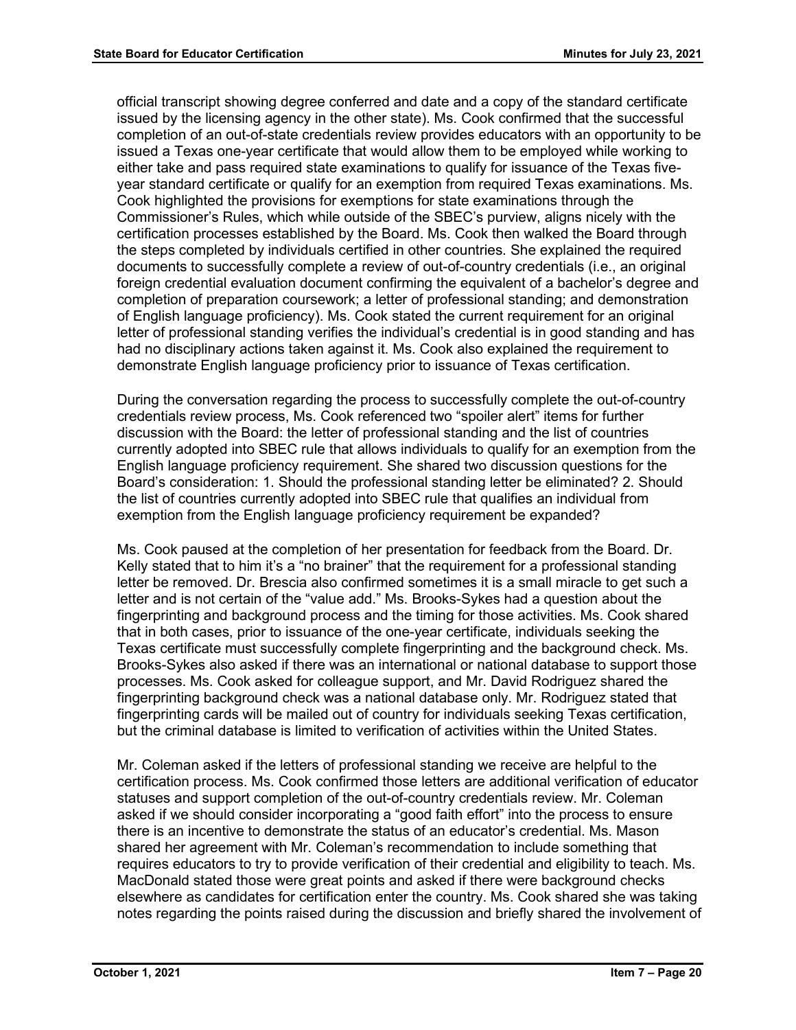official transcript showing degree conferred and date and a copy of the standard certificate issued by the licensing agency in the other state). Ms. Cook confirmed that the successful completion of an out-of-state credentials review provides educators with an opportunity to be issued a Texas one-year certificate that would allow them to be employed while working to either take and pass required state examinations to qualify for issuance of the Texas fiveyear standard certificate or qualify for an exemption from required Texas examinations. Ms. Cook highlighted the provisions for exemptions for state examinations through the Commissioner's Rules, which while outside of the SBEC's purview, aligns nicely with the certification processes established by the Board. Ms. Cook then walked the Board through the steps completed by individuals certified in other countries. She explained the required documents to successfully complete a review of out-of-country credentials (i.e., an original foreign credential evaluation document confirming the equivalent of a bachelor's degree and completion of preparation coursework; a letter of professional standing; and demonstration of English language proficiency). Ms. Cook stated the current requirement for an original letter of professional standing verifies the individual's credential is in good standing and has had no disciplinary actions taken against it. Ms. Cook also explained the requirement to demonstrate English language proficiency prior to issuance of Texas certification.

During the conversation regarding the process to successfully complete the out-of-country credentials review process, Ms. Cook referenced two "spoiler alert" items for further discussion with the Board: the letter of professional standing and the list of countries currently adopted into SBEC rule that allows individuals to qualify for an exemption from the English language proficiency requirement. She shared two discussion questions for the Board's consideration: 1. Should the professional standing letter be eliminated? 2. Should the list of countries currently adopted into SBEC rule that qualifies an individual from exemption from the English language proficiency requirement be expanded?

Ms. Cook paused at the completion of her presentation for feedback from the Board. Dr. Kelly stated that to him it's a "no brainer" that the requirement for a professional standing letter be removed. Dr. Brescia also confirmed sometimes it is a small miracle to get such a letter and is not certain of the "value add." Ms. Brooks-Sykes had a question about the fingerprinting and background process and the timing for those activities. Ms. Cook shared that in both cases, prior to issuance of the one-year certificate, individuals seeking the Texas certificate must successfully complete fingerprinting and the background check. Ms. Brooks-Sykes also asked if there was an international or national database to support those processes. Ms. Cook asked for colleague support, and Mr. David Rodriguez shared the fingerprinting background check was a national database only. Mr. Rodriguez stated that fingerprinting cards will be mailed out of country for individuals seeking Texas certification, but the criminal database is limited to verification of activities within the United States.

Mr. Coleman asked if the letters of professional standing we receive are helpful to the certification process. Ms. Cook confirmed those letters are additional verification of educator statuses and support completion of the out-of-country credentials review. Mr. Coleman asked if we should consider incorporating a "good faith effort" into the process to ensure there is an incentive to demonstrate the status of an educator's credential. Ms. Mason shared her agreement with Mr. Coleman's recommendation to include something that requires educators to try to provide verification of their credential and eligibility to teach. Ms. MacDonald stated those were great points and asked if there were background checks elsewhere as candidates for certification enter the country. Ms. Cook shared she was taking notes regarding the points raised during the discussion and briefly shared the involvement of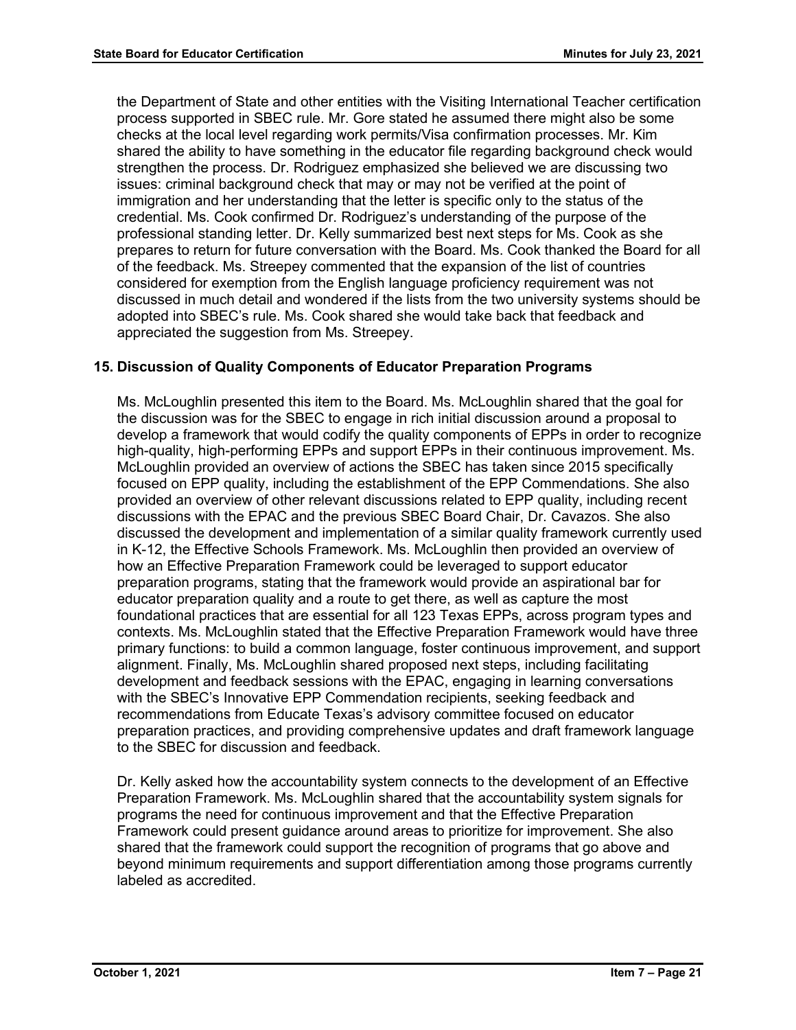the Department of State and other entities with the Visiting International Teacher certification process supported in SBEC rule. Mr. Gore stated he assumed there might also be some checks at the local level regarding work permits/Visa confirmation processes. Mr. Kim shared the ability to have something in the educator file regarding background check would strengthen the process. Dr. Rodriguez emphasized she believed we are discussing two issues: criminal background check that may or may not be verified at the point of immigration and her understanding that the letter is specific only to the status of the credential. Ms. Cook confirmed Dr. Rodriguez's understanding of the purpose of the professional standing letter. Dr. Kelly summarized best next steps for Ms. Cook as she prepares to return for future conversation with the Board. Ms. Cook thanked the Board for all of the feedback. Ms. Streepey commented that the expansion of the list of countries considered for exemption from the English language proficiency requirement was not discussed in much detail and wondered if the lists from the two university systems should be adopted into SBEC's rule. Ms. Cook shared she would take back that feedback and appreciated the suggestion from Ms. Streepey.

# **15. Discussion of Quality Components of Educator Preparation Programs**

Ms. McLoughlin presented this item to the Board. Ms. McLoughlin shared that the goal for the discussion was for the SBEC to engage in rich initial discussion around a proposal to develop a framework that would codify the quality components of EPPs in order to recognize high-quality, high-performing EPPs and support EPPs in their continuous improvement. Ms. McLoughlin provided an overview of actions the SBEC has taken since 2015 specifically focused on EPP quality, including the establishment of the EPP Commendations. She also provided an overview of other relevant discussions related to EPP quality, including recent discussions with the EPAC and the previous SBEC Board Chair, Dr. Cavazos. She also discussed the development and implementation of a similar quality framework currently used in K-12, the Effective Schools Framework. Ms. McLoughlin then provided an overview of how an Effective Preparation Framework could be leveraged to support educator preparation programs, stating that the framework would provide an aspirational bar for educator preparation quality and a route to get there, as well as capture the most foundational practices that are essential for all 123 Texas EPPs, across program types and contexts. Ms. McLoughlin stated that the Effective Preparation Framework would have three primary functions: to build a common language, foster continuous improvement, and support alignment. Finally, Ms. McLoughlin shared proposed next steps, including facilitating development and feedback sessions with the EPAC, engaging in learning conversations with the SBEC's Innovative EPP Commendation recipients, seeking feedback and recommendations from Educate Texas's advisory committee focused on educator preparation practices, and providing comprehensive updates and draft framework language to the SBEC for discussion and feedback.

Dr. Kelly asked how the accountability system connects to the development of an Effective Preparation Framework. Ms. McLoughlin shared that the accountability system signals for programs the need for continuous improvement and that the Effective Preparation Framework could present guidance around areas to prioritize for improvement. She also shared that the framework could support the recognition of programs that go above and beyond minimum requirements and support differentiation among those programs currently labeled as accredited.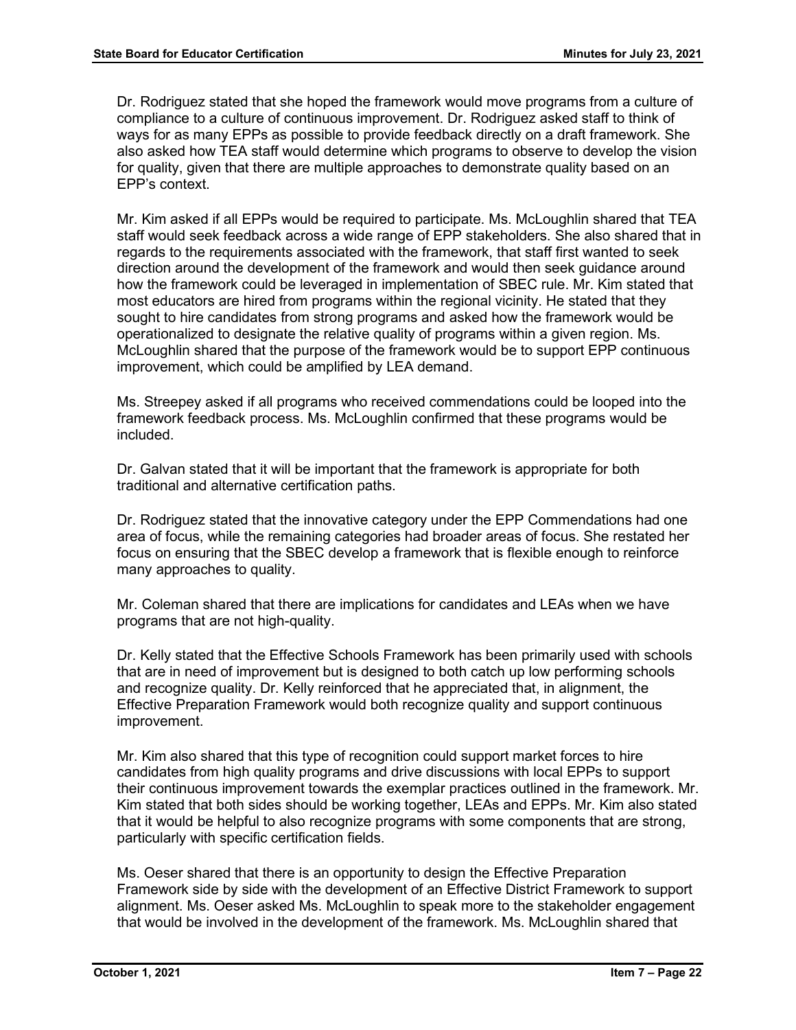Dr. Rodriguez stated that she hoped the framework would move programs from a culture of compliance to a culture of continuous improvement. Dr. Rodriguez asked staff to think of ways for as many EPPs as possible to provide feedback directly on a draft framework. She also asked how TEA staff would determine which programs to observe to develop the vision for quality, given that there are multiple approaches to demonstrate quality based on an EPP's context.

Mr. Kim asked if all EPPs would be required to participate. Ms. McLoughlin shared that TEA staff would seek feedback across a wide range of EPP stakeholders. She also shared that in regards to the requirements associated with the framework, that staff first wanted to seek direction around the development of the framework and would then seek guidance around how the framework could be leveraged in implementation of SBEC rule. Mr. Kim stated that most educators are hired from programs within the regional vicinity. He stated that they sought to hire candidates from strong programs and asked how the framework would be operationalized to designate the relative quality of programs within a given region. Ms. McLoughlin shared that the purpose of the framework would be to support EPP continuous improvement, which could be amplified by LEA demand.

Ms. Streepey asked if all programs who received commendations could be looped into the framework feedback process. Ms. McLoughlin confirmed that these programs would be included.

Dr. Galvan stated that it will be important that the framework is appropriate for both traditional and alternative certification paths.

Dr. Rodriguez stated that the innovative category under the EPP Commendations had one area of focus, while the remaining categories had broader areas of focus. She restated her focus on ensuring that the SBEC develop a framework that is flexible enough to reinforce many approaches to quality.

Mr. Coleman shared that there are implications for candidates and LEAs when we have programs that are not high-quality.

Dr. Kelly stated that the Effective Schools Framework has been primarily used with schools that are in need of improvement but is designed to both catch up low performing schools and recognize quality. Dr. Kelly reinforced that he appreciated that, in alignment, the Effective Preparation Framework would both recognize quality and support continuous improvement.

Mr. Kim also shared that this type of recognition could support market forces to hire candidates from high quality programs and drive discussions with local EPPs to support their continuous improvement towards the exemplar practices outlined in the framework. Mr. Kim stated that both sides should be working together, LEAs and EPPs. Mr. Kim also stated that it would be helpful to also recognize programs with some components that are strong, particularly with specific certification fields.

Ms. Oeser shared that there is an opportunity to design the Effective Preparation Framework side by side with the development of an Effective District Framework to support alignment. Ms. Oeser asked Ms. McLoughlin to speak more to the stakeholder engagement that would be involved in the development of the framework. Ms. McLoughlin shared that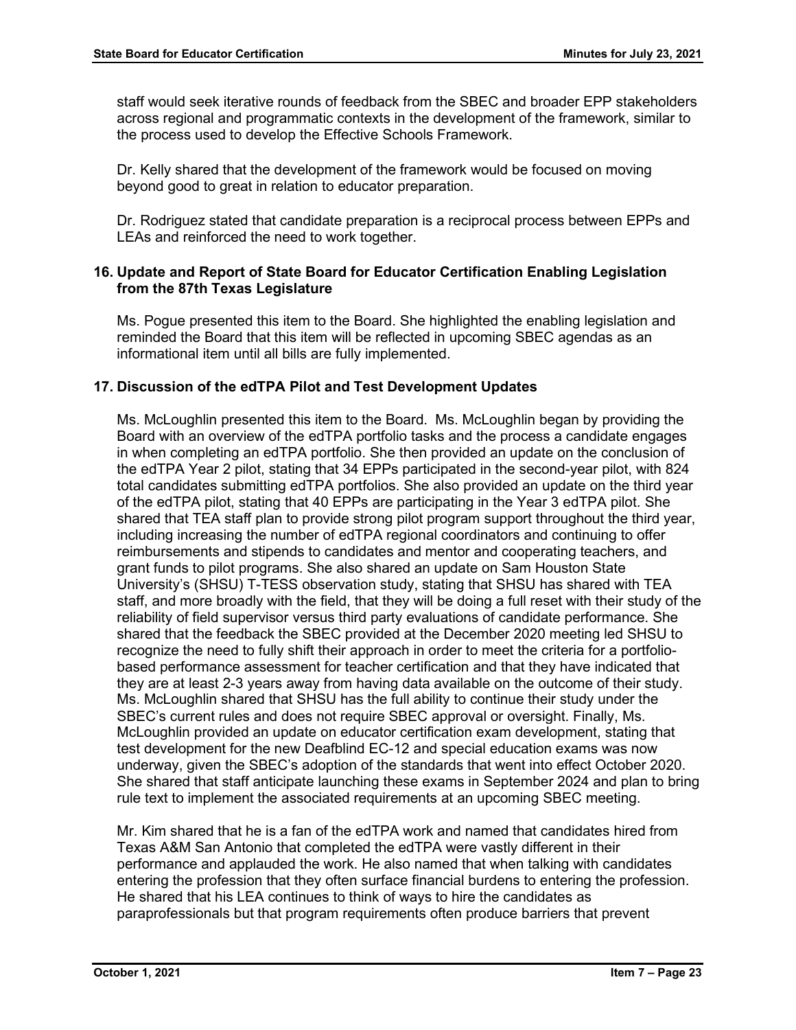staff would seek iterative rounds of feedback from the SBEC and broader EPP stakeholders across regional and programmatic contexts in the development of the framework, similar to the process used to develop the Effective Schools Framework.

Dr. Kelly shared that the development of the framework would be focused on moving beyond good to great in relation to educator preparation.

Dr. Rodriguez stated that candidate preparation is a reciprocal process between EPPs and LEAs and reinforced the need to work together.

# **16. Update and Report of State Board for Educator Certification Enabling Legislation from the 87th Texas Legislature**

Ms. Pogue presented this item to the Board. She highlighted the enabling legislation and reminded the Board that this item will be reflected in upcoming SBEC agendas as an informational item until all bills are fully implemented.

# **17. Discussion of the edTPA Pilot and Test Development Updates**

Ms. McLoughlin presented this item to the Board. Ms. McLoughlin began by providing the Board with an overview of the edTPA portfolio tasks and the process a candidate engages in when completing an edTPA portfolio. She then provided an update on the conclusion of the edTPA Year 2 pilot, stating that 34 EPPs participated in the second-year pilot, with 824 total candidates submitting edTPA portfolios. She also provided an update on the third year of the edTPA pilot, stating that 40 EPPs are participating in the Year 3 edTPA pilot. She shared that TEA staff plan to provide strong pilot program support throughout the third year, including increasing the number of edTPA regional coordinators and continuing to offer reimbursements and stipends to candidates and mentor and cooperating teachers, and grant funds to pilot programs. She also shared an update on Sam Houston State University's (SHSU) T-TESS observation study, stating that SHSU has shared with TEA staff, and more broadly with the field, that they will be doing a full reset with their study of the reliability of field supervisor versus third party evaluations of candidate performance. She shared that the feedback the SBEC provided at the December 2020 meeting led SHSU to recognize the need to fully shift their approach in order to meet the criteria for a portfoliobased performance assessment for teacher certification and that they have indicated that they are at least 2-3 years away from having data available on the outcome of their study. Ms. McLoughlin shared that SHSU has the full ability to continue their study under the SBEC's current rules and does not require SBEC approval or oversight. Finally, Ms. McLoughlin provided an update on educator certification exam development, stating that test development for the new Deafblind EC-12 and special education exams was now underway, given the SBEC's adoption of the standards that went into effect October 2020. She shared that staff anticipate launching these exams in September 2024 and plan to bring rule text to implement the associated requirements at an upcoming SBEC meeting.

Mr. Kim shared that he is a fan of the edTPA work and named that candidates hired from Texas A&M San Antonio that completed the edTPA were vastly different in their performance and applauded the work. He also named that when talking with candidates entering the profession that they often surface financial burdens to entering the profession. He shared that his LEA continues to think of ways to hire the candidates as paraprofessionals but that program requirements often produce barriers that prevent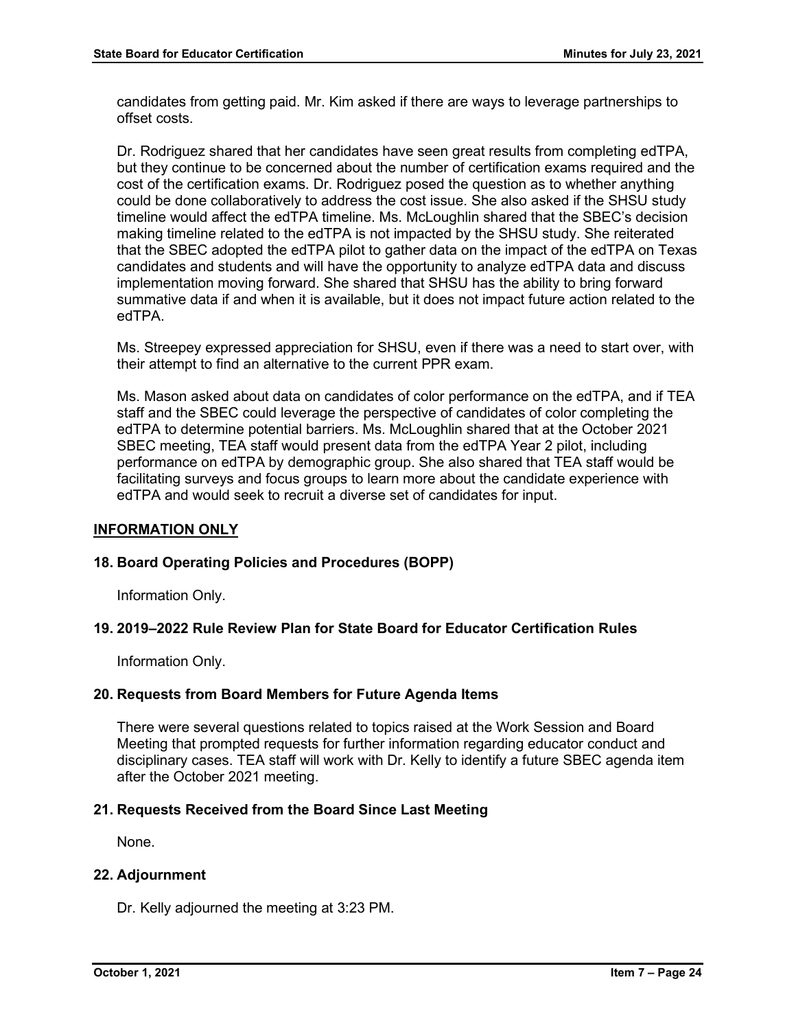candidates from getting paid. Mr. Kim asked if there are ways to leverage partnerships to offset costs.

Dr. Rodriguez shared that her candidates have seen great results from completing edTPA, but they continue to be concerned about the number of certification exams required and the cost of the certification exams. Dr. Rodriguez posed the question as to whether anything could be done collaboratively to address the cost issue. She also asked if the SHSU study timeline would affect the edTPA timeline. Ms. McLoughlin shared that the SBEC's decision making timeline related to the edTPA is not impacted by the SHSU study. She reiterated that the SBEC adopted the edTPA pilot to gather data on the impact of the edTPA on Texas candidates and students and will have the opportunity to analyze edTPA data and discuss implementation moving forward. She shared that SHSU has the ability to bring forward summative data if and when it is available, but it does not impact future action related to the edTPA.

Ms. Streepey expressed appreciation for SHSU, even if there was a need to start over, with their attempt to find an alternative to the current PPR exam.

Ms. Mason asked about data on candidates of color performance on the edTPA, and if TEA staff and the SBEC could leverage the perspective of candidates of color completing the edTPA to determine potential barriers. Ms. McLoughlin shared that at the October 2021 SBEC meeting, TEA staff would present data from the edTPA Year 2 pilot, including performance on edTPA by demographic group. She also shared that TEA staff would be facilitating surveys and focus groups to learn more about the candidate experience with edTPA and would seek to recruit a diverse set of candidates for input.

# **INFORMATION ONLY**

## **18. Board Operating Policies and Procedures (BOPP)**

Information Only.

## **19. 2019–2022 Rule Review Plan for State Board for Educator Certification Rules**

Information Only.

## **20. Requests from Board Members for Future Agenda Items**

There were several questions related to topics raised at the Work Session and Board Meeting that prompted requests for further information regarding educator conduct and disciplinary cases. TEA staff will work with Dr. Kelly to identify a future SBEC agenda item after the October 2021 meeting.

## **21. Requests Received from the Board Since Last Meeting**

None.

## **22. Adjournment**

Dr. Kelly adjourned the meeting at 3:23 PM.